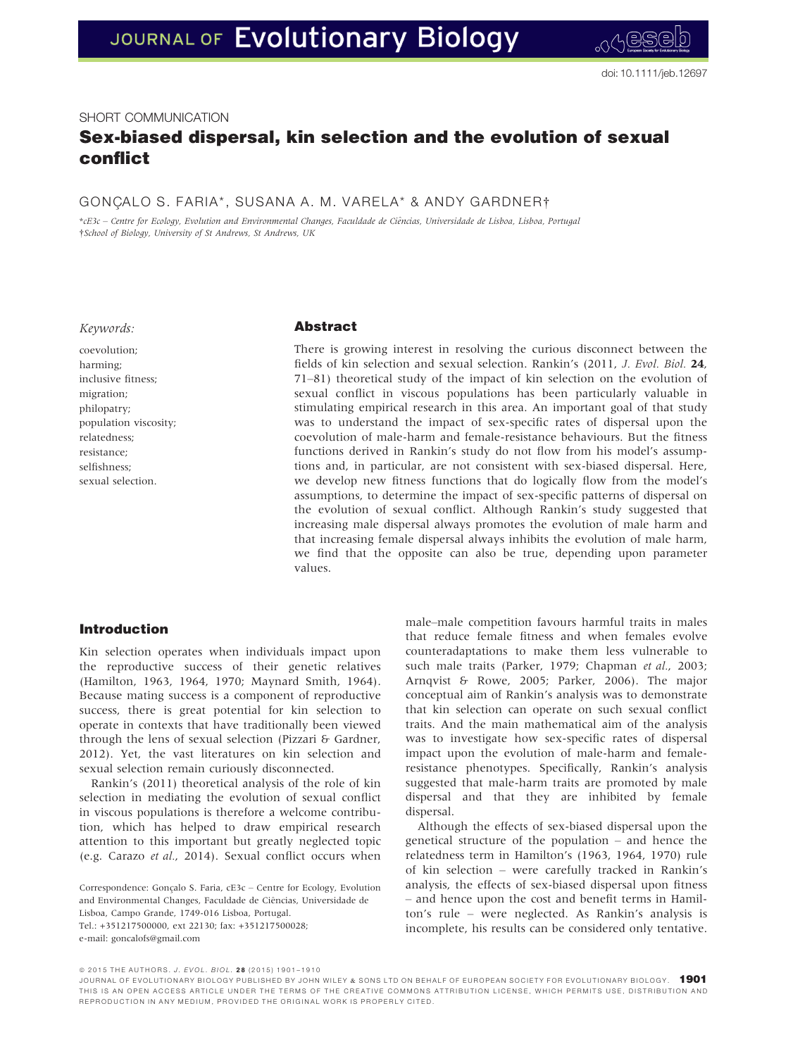#### SHORT COMMUNICATION

## Sex-biased dispersal, kin selection and the evolution of sexual conflict

## GONCALO S. FARIA\*, SUSANA A. M. VARELA\* & ANDY GARDNER†

\*cE3c – Centre for Ecology, Evolution and Environmental Changes, Faculdade de Ci^encias, Universidade de Lisboa, Lisboa, Portugal †School of Biology, University of St Andrews, St Andrews, UK

#### Keywords:

coevolution; harming; inclusive fitness; migration; philopatry; population viscosity; relatedness; resistance; selfishness; sexual selection.

## Abstract

There is growing interest in resolving the curious disconnect between the fields of kin selection and sexual selection. Rankin's (2011, J. Evol. Biol. 24, 71–81) theoretical study of the impact of kin selection on the evolution of sexual conflict in viscous populations has been particularly valuable in stimulating empirical research in this area. An important goal of that study was to understand the impact of sex-specific rates of dispersal upon the coevolution of male-harm and female-resistance behaviours. But the fitness functions derived in Rankin's study do not flow from his model's assumptions and, in particular, are not consistent with sex-biased dispersal. Here, we develop new fitness functions that do logically flow from the model's assumptions, to determine the impact of sex-specific patterns of dispersal on the evolution of sexual conflict. Although Rankin's study suggested that increasing male dispersal always promotes the evolution of male harm and that increasing female dispersal always inhibits the evolution of male harm, we find that the opposite can also be true, depending upon parameter values.

#### Introduction

Kin selection operates when individuals impact upon the reproductive success of their genetic relatives (Hamilton, 1963, 1964, 1970; Maynard Smith, 1964). Because mating success is a component of reproductive success, there is great potential for kin selection to operate in contexts that have traditionally been viewed through the lens of sexual selection (Pizzari & Gardner, 2012). Yet, the vast literatures on kin selection and sexual selection remain curiously disconnected.

Rankin's (2011) theoretical analysis of the role of kin selection in mediating the evolution of sexual conflict in viscous populations is therefore a welcome contribution, which has helped to draw empirical research attention to this important but greatly neglected topic (e.g. Carazo et al., 2014). Sexual conflict occurs when

Correspondence: Goncalo S. Faria, cE3c – Centre for Ecology, Evolution and Environmental Changes, Faculdade de Ciências, Universidade de Lisboa, Campo Grande, 1749-016 Lisboa, Portugal. Tel.: +351217500000, ext 22130; fax: +351217500028; e-mail: goncalofs@gmail.com

male–male competition favours harmful traits in males that reduce female fitness and when females evolve counteradaptations to make them less vulnerable to such male traits (Parker, 1979; Chapman et al., 2003; Arnqvist & Rowe, 2005; Parker, 2006). The major conceptual aim of Rankin's analysis was to demonstrate that kin selection can operate on such sexual conflict traits. And the main mathematical aim of the analysis was to investigate how sex-specific rates of dispersal impact upon the evolution of male-harm and femaleresistance phenotypes. Specifically, Rankin's analysis suggested that male-harm traits are promoted by male dispersal and that they are inhibited by female dispersal.

Although the effects of sex-biased dispersal upon the genetical structure of the population – and hence the relatedness term in Hamilton's (1963, 1964, 1970) rule of kin selection – were carefully tracked in Rankin's analysis, the effects of sex-biased dispersal upon fitness – and hence upon the cost and benefit terms in Hamilton's rule – were neglected. As Rankin's analysis is incomplete, his results can be considered only tentative.

ª 2015 THE AUTHORS. J. EVOL. BIOL. 2 8 (2015) 1901–1910

JOURNAL OF EVOLUTIONARY BIOLOGY PUBLISHED BY JOHN WILEY & SONS LTD ON BEHALF OF EUROPEAN SOCIETY FOR EVOLUTIONARY BIOLOGY. 1901 THIS IS AN OPEN ACCESS ARTICLE UNDER THE TERMS OF THE CREATIVE CO[MMONS ATTRIBUTION](http://creativecommons.org/licenses/by/4.0/) LICENSE, WHICH PERMITS USE, DISTRIBUTION AND REPRODUCTION IN ANY MEDIUM, PROVIDED THE ORIGINAL WORK IS PROPERLY CITED.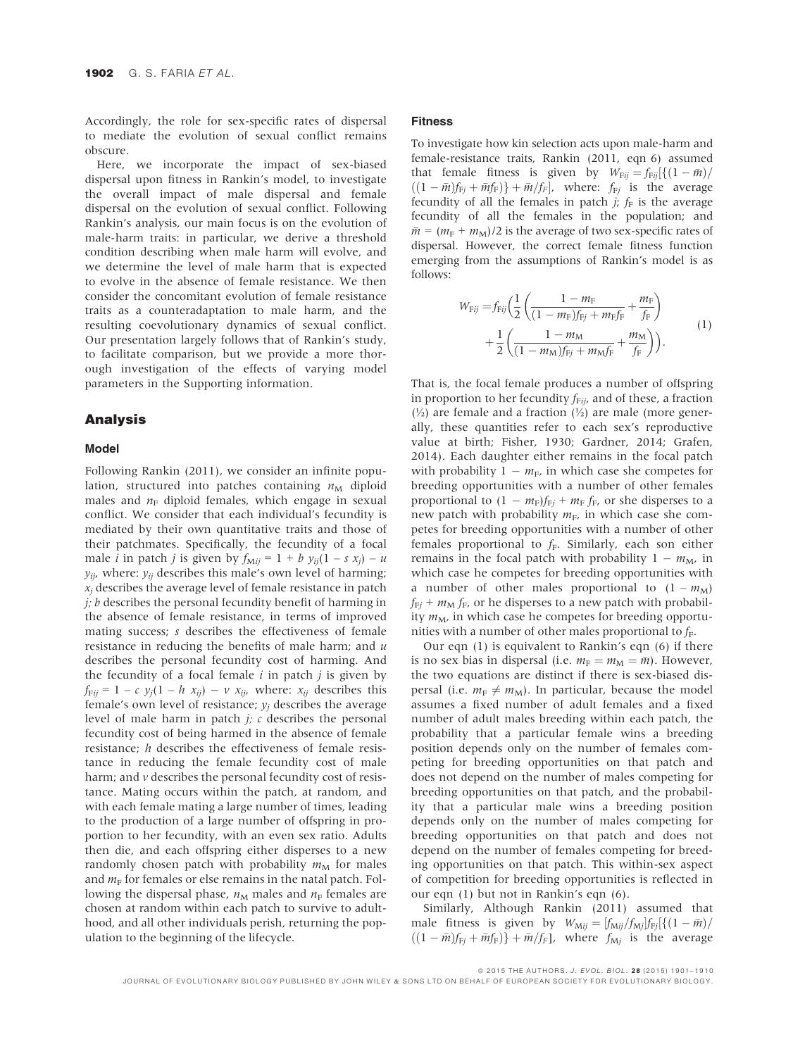Accordingly, the role for sex-specific rates of dispersal to mediate the evolution of sexual conflict remains obscure.

Here, we incorporate the impact of sex-biased dispersal upon fitness in Rankin's model, to investigate the overall impact of male dispersal and female dispersal on the evolution of sexual conflict. Following Rankin's analysis, our main focus is on the evolution of male-harm traits: in particular, we derive a threshold condition describing when male harm will evolve, and we determine the level of male harm that is expected to evolve in the absence of female resistance. We then consider the concomitant evolution of female resistance traits as a counteradaptation to male harm, and the resulting coevolutionary dynamics of sexual conflict. Our presentation largely follows that of Rankin's study, to facilitate comparison, but we provide a more thorough investigation of the effects of varying model parameters in the Supporting information.

#### Analysis

#### Model

Following Rankin (2011), we consider an infinite population, structured into patches containing  $n_M$  diploid males and  $n_F$  diploid females, which engage in sexual conflict. We consider that each individual's fecundity is mediated by their own quantitative traits and those of their patchmates. Specifically, the fecundity of a focal male *i* in patch *j* is given by  $f_{\text{M}ii} = 1 + b y_{ii}(1 - s x_i) - u$  $y_{ij}$ , where:  $y_{ij}$  describes this male's own level of harming;  $x_i$  describes the average level of female resistance in patch  $j$ ;  $b$  describes the personal fecundity benefit of harming in the absence of female resistance, in terms of improved mating success; s describes the effectiveness of female resistance in reducing the benefits of male harm; and  $u$ describes the personal fecundity cost of harming. And the fecundity of a focal female  $i$  in patch  $j$  is given by  $f_{\text{F}ij} = 1 - c$   $y_j(1 - h \, x_{ij}) - v \, x_{ij}$ , where:  $x_{ij}$  describes this female's own level of resistance;  $y_i$  describes the average level of male harm in patch  $j$ ;  $c$  describes the personal fecundity cost of being harmed in the absence of female resistance; h describes the effectiveness of female resistance in reducing the female fecundity cost of male harm; and v describes the personal fecundity cost of resistance. Mating occurs within the patch, at random, and with each female mating a large number of times, leading to the production of a large number of offspring in proportion to her fecundity, with an even sex ratio. Adults then die, and each offspring either disperses to a new randomly chosen patch with probability  $m<sub>M</sub>$  for males and  $m_F$  for females or else remains in the natal patch. Following the dispersal phase,  $n_M$  males and  $n_F$  females are chosen at random within each patch to survive to adulthood, and all other individuals perish, returning the population to the beginning of the lifecycle.

#### Fitness

To investigate how kin selection acts upon male-harm and female-resistance traits, Rankin (2011, eqn 6) assumed that female fitness is given by  $W_{\text{Fij}} = f_{\text{Fij}} \left[ \left( (1 - \bar{m}) / (1 - \bar{m}) f_{\text{F}} + \bar{m} f_{\text{F}} \right) \right] + \bar{m} f_{\text{F}} \left( f_{\text{F}} \right)$  where f. is the average  $((1 - \overline{m})f_{Fj} + \overline{m}f_F) + \overline{m}/f_F$ , where:  $f_{Fj}$  is the average<br>fecundity of all the females in patch *i*; f, is the average fecundity of all the females in patch  $j$ ;  $f_F$  is the average fecundity of all the females in the population; and  $\bar{m} = (m_{\rm F} + m_{\rm M})/2$  is the average of two sex-specific rates of dispersal. However, the correct female fitness function emerging from the assumptions of Rankin's model is as follows:

$$
W_{\text{F}ij} = f_{\text{F}ij} \left( \frac{1}{2} \left( \frac{1 - m_{\text{F}}}{(1 - m_{\text{F}}) f_{\text{F}j} + m_{\text{F}} f_{\text{F}}} + \frac{m_{\text{F}}}{f_{\text{F}}} \right) + \frac{1}{2} \left( \frac{1 - m_{\text{M}}}{(1 - m_{\text{M}}) f_{\text{F}j} + m_{\text{M}} f_{\text{F}}} + \frac{m_{\text{M}}}{f_{\text{F}}} \right) \right).
$$
(1)

That is, the focal female produces a number of offspring in proportion to her fecundity  $f_{\text{F}ij}$ , and of these, a fraction  $(\frac{1}{2})$  are female and a fraction  $(\frac{1}{2})$  are male (more generally, these quantities refer to each sex's reproductive value at birth; Fisher, 1930; Gardner, 2014; Grafen, 2014). Each daughter either remains in the focal patch with probability  $1 - m_F$ , in which case she competes for breeding opportunities with a number of other females proportional to  $(1 - m_F) f_{Fj} + m_F f_F$ , or she disperses to a new patch with probability  $m_F$ , in which case she competes for breeding opportunities with a number of other females proportional to  $f_F$ . Similarly, each son either remains in the focal patch with probability  $1 - m<sub>M</sub>$ , in which case he competes for breeding opportunities with a number of other males proportional to  $(1 - m<sub>M</sub>)$  $f_{\text{F}i}$  +  $m_{\text{M}} f_{\text{F}}$ , or he disperses to a new patch with probability  $m_{\rm M}$ , in which case he competes for breeding opportunities with a number of other males proportional to  $f_F$ .

Our eqn (1) is equivalent to Rankin's eqn (6) if there is no sex bias in dispersal (i.e.  $m_F = m_M = \bar{m}$ ). However,<br>the two equations are distinct if there is sex-biased disthe two equations are distinct if there is sex-biased dispersal (i.e.  $m_F \neq m_M$ ). In particular, because the model assumes a fixed number of adult females and a fixed number of adult males breeding within each patch, the probability that a particular female wins a breeding position depends only on the number of females competing for breeding opportunities on that patch and does not depend on the number of males competing for breeding opportunities on that patch, and the probability that a particular male wins a breeding position depends only on the number of males competing for breeding opportunities on that patch and does not depend on the number of females competing for breeding opportunities on that patch. This within-sex aspect of competition for breeding opportunities is reflected in our eqn (1) but not in Rankin's eqn (6).

Similarly, Although Rankin (2011) assumed that male fitness is given by  $W_{\text{M}ij} = [f_{\text{M}ij}/f_{\text{M}j}]f_{\text{F}j}[\{(1-\bar{m})/(1-\bar{m})f_{\text{N}j}+\bar{m}f_{\text{N}}]\}$  $((1 - \bar{m})f_{Fj} + \bar{m}f_F)$  +  $\bar{m}/f_F$ ], where  $f_{Mj}$  is the average

© 2015 THE AUTHORS. J. EVOL. BIOL. 28 (2015) 1901-1910 JOURNAL OF EVOLUTIONARY BIOLOGY PUBLISHED BY JOHN WILEY & SONS LTD ON BEHALF OF EUROPEAN SOC IETY FOR EVOLUTIONARY BIOLOGY.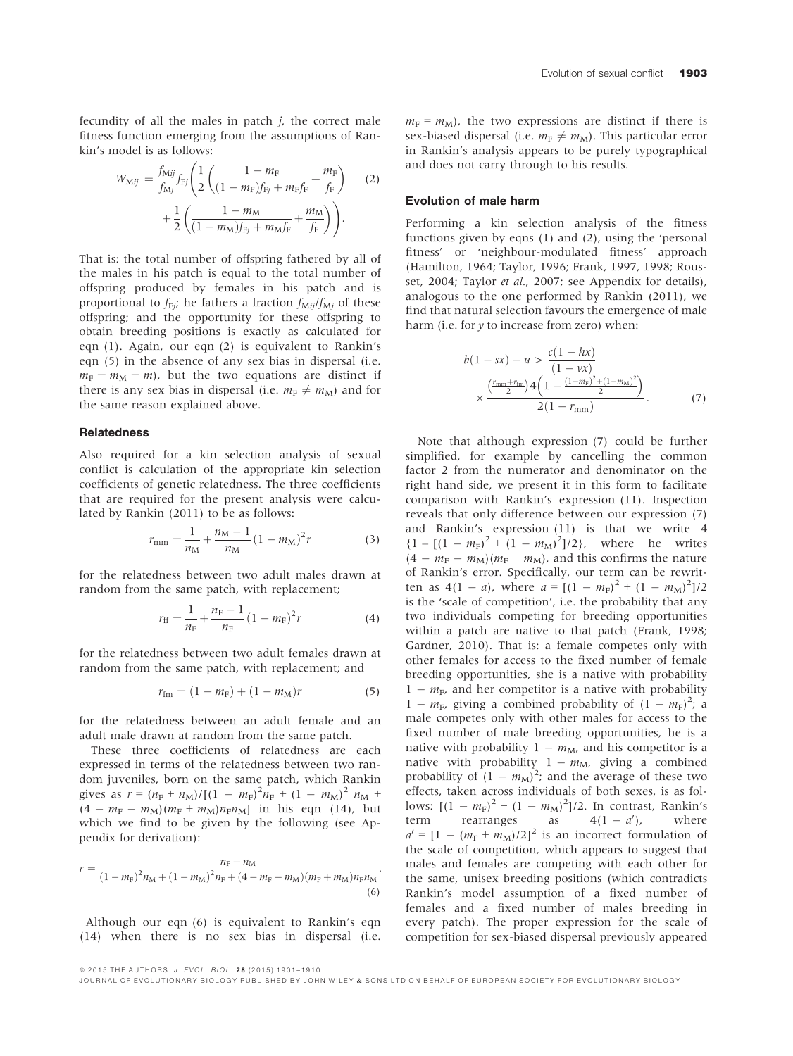fecundity of all the males in patch j, the correct male fitness function emerging from the assumptions of Rankin's model is as follows:

$$
W_{\text{Mij}} = \frac{f_{\text{Mij}}}{f_{\text{Mj}}} f_{\text{Fj}} \left( \frac{1}{2} \left( \frac{1 - m_{\text{F}}}{(1 - m_{\text{F}}) f_{\text{Fj}} + m_{\text{F}} f_{\text{F}}} + \frac{m_{\text{F}}}{f_{\text{F}}} \right) + \frac{1}{2} \left( \frac{1 - m_{\text{M}}}{(1 - m_{\text{M}}) f_{\text{Fj}} + m_{\text{M}} f_{\text{F}}} + \frac{m_{\text{M}}}{f_{\text{F}}} \right) \right).
$$
 (2)

That is: the total number of offspring fathered by all of the males in his patch is equal to the total number of offspring produced by females in his patch and is proportional to  $f_{Fi}$ ; he fathers a fraction  $f_{Mii}/f_{Mi}$  of these offspring; and the opportunity for these offspring to obtain breeding positions is exactly as calculated for eqn (1). Again, our eqn (2) is equivalent to Rankin's eqn (5) in the absence of any sex bias in dispersal (i.e.  $m_F = m_M = \bar{m}$ , but the two equations are distinct if<br>there is any sex bias in dispersal (i.e.  $m_H \neq m_H$ .) and for there is any sex bias in dispersal (i.e.  $m_F \neq m_M$ ) and for the same reason explained above.

#### **Relatedness**

Also required for a kin selection analysis of sexual conflict is calculation of the appropriate kin selection coefficients of genetic relatedness. The three coefficients that are required for the present analysis were calculated by Rankin (2011) to be as follows:

$$
r_{\rm mm} = \frac{1}{n_{\rm M}} + \frac{n_{\rm M} - 1}{n_{\rm M}} (1 - m_{\rm M})^2 r \tag{3}
$$

for the relatedness between two adult males drawn at random from the same patch, with replacement;

$$
r_{\rm ff} = \frac{1}{n_{\rm F}} + \frac{n_{\rm F} - 1}{n_{\rm F}} (1 - m_{\rm F})^2 r \tag{4}
$$

for the relatedness between two adult females drawn at random from the same patch, with replacement; and

$$
r_{\rm fm} = (1 - m_{\rm F}) + (1 - m_{\rm M})r \tag{5}
$$

for the relatedness between an adult female and an adult male drawn at random from the same patch.

These three coefficients of relatedness are each expressed in terms of the relatedness between two random juveniles, born on the same patch, which Rankin gives as  $r = (n_{\rm F} + n_{\rm M})/[(1 - m_{\rm F})^2 n_{\rm F} + (1 - m_{\rm M})^2 n_{\rm M} + (1 - m_{\rm H} - m_{\rm M})^2 n_{\rm M}]$  $(4 - m_F - m_M)(m_F + m_M)n_F n_M$ ] in his eqn (14), but which we find to be given by the following (see Appendix for derivation):

$$
r = \frac{n_{\rm F} + n_{\rm M}}{(1 - m_{\rm F})^2 n_{\rm M} + (1 - m_{\rm M})^2 n_{\rm F} + (4 - m_{\rm F} - m_{\rm M})(m_{\rm F} + m_{\rm M}) n_{\rm F} n_{\rm M}}.
$$
\n(6)

Although our eqn (6) is equivalent to Rankin's eqn (14) when there is no sex bias in dispersal (i.e.

 $m_F = m_M$ ), the two expressions are distinct if there is sex-biased dispersal (i.e.  $m_F \neq m_M$ ). This particular error in Rankin's analysis appears to be purely typographical and does not carry through to his results.

#### Evolution of male harm

Performing a kin selection analysis of the fitness functions given by eqns (1) and (2), using the 'personal fitness' or 'neighbour-modulated fitness' approach (Hamilton, 1964; Taylor, 1996; Frank, 1997, 1998; Rousset, 2004; Taylor et al., 2007; see Appendix for details), analogous to the one performed by Rankin (2011), we find that natural selection favours the emergence of male harm (i.e. for y to increase from zero) when:

$$
b(1 - sx) - u > \frac{c(1 - hx)}{(1 - vx)}
$$
  
 
$$
\times \frac{\left(\frac{r_{\text{mm}} + r_{\text{fm}}}{2}\right) 4\left(1 - \frac{(1 - m_{\text{F}})^2 + (1 - m_{\text{M}})^2}{2}\right)}{2(1 - r_{\text{mm}})}.
$$
 (7)

Note that although expression (7) could be further simplified, for example by cancelling the common factor 2 from the numerator and denominator on the right hand side, we present it in this form to facilitate comparison with Rankin's expression (11). Inspection reveals that only difference between our expression (7) and Rankin's expression (11) is that we write 4  $\{1 - [(1 - m_F)^2 + (1 - m_M)^2]/2\}$ , where he writes  $(4 - m<sub>F</sub> - m<sub>M</sub>)(m<sub>F</sub> + m<sub>M</sub>)$ , and this confirms the nature of Rankin's error. Specifically, our term can be rewritten as  $4(1 - a)$ , where  $a = [(1 - m_F)^2 + (1 - m_M)^2]/2$ <br>is the 'scale of competition' i.e. the probability that any is the 'scale of competition', i.e. the probability that any two individuals competing for breeding opportunities within a patch are native to that patch (Frank, 1998; Gardner, 2010). That is: a female competes only with other females for access to the fixed number of female breeding opportunities, she is a native with probability  $1 - m_F$ , and her competitor is a native with probability  $1 - m_F$ , giving a combined probability of  $(1 - m_F)^2$ ; a male competes only with other males for access to the male competes only with other males for access to the fixed number of male breeding opportunities, he is a native with probability  $1 - m_M$ , and his competitor is a native with probability  $1 - m_M$ , giving a combined probability of  $(1 - m_M)^2$ ; and the average of these two<br>effects taken across individuals of both seves is as foleffects, taken across individuals of both sexes, is as follows:  $[(1 - m_F)^2 + (1 - m_M)^2]/2$ . In contrast, Rankin's term rearranges as  $4(1 - a^0)$ <br> $a' = 11 - (m_0 + m_0)/21^2$  is an incorrect for  $4(1 - a')$ , where  $a' = [1 - (m_F + m_M)/2]^2$  is an incorrect formulation of<br>the scale of connection, which appears to suggest that the scale of competition, which appears to suggest that males and females are competing with each other for the same, unisex breeding positions (which contradicts Rankin's model assumption of a fixed number of females and a fixed number of males breeding in every patch). The proper expression for the scale of competition for sex-biased dispersal previously appeared

ª 2015 THE AUTHORS. J. EVOL. BIOL. 2 8 (2015) 1901–1910

JOURNAL OF EVOLUTIONARY BIOLOGY PUBLISHED BY JOHN WILEY & SONS LTD ON BEHALF OF EUROPEAN SOCIETY FOR EVOLUTIONARY BIOLOGY.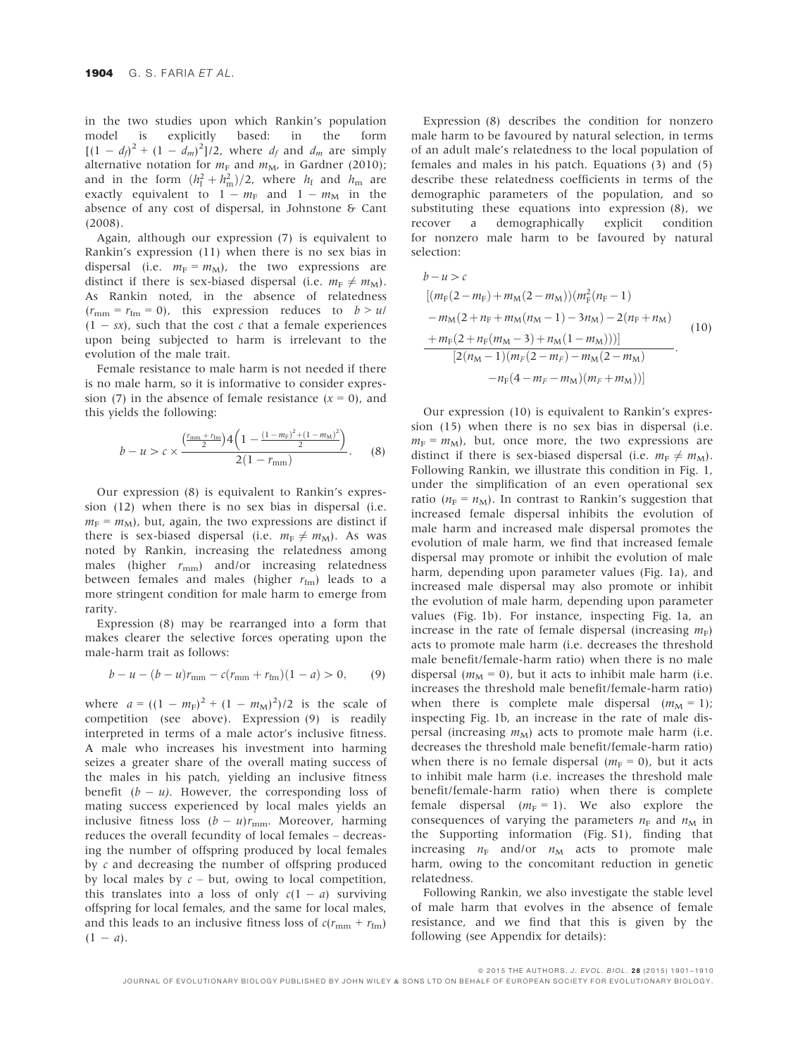in the two studies upon which Rankin's population model is explicitly based: in the form  $[(1 - d_f)^2 + (1 - d_m)^2]/2$ , where  $d_f$  and  $d_m$  are simply alternative notation for  $m_r$  and  $m_r$ , in Gardner (2010) alternative notation for  $m_F$  and  $m_M$ , in Gardner (2010); and in the form  $(h_f^2 + h_m^2)/2$ , where  $h_f$  and  $h_m$  are<br>exactly equivalent to  $1 - m_f$  and  $1 - m_f$ , in the exactly equivalent to  $1 - m_F$  and  $1 - m_M$  in the absence of any cost of dispersal, in Johnstone & Cant (2008).

Again, although our expression (7) is equivalent to Rankin's expression (11) when there is no sex bias in dispersal (i.e.  $m_F = m_M$ ), the two expressions are distinct if there is sex-biased dispersal (i.e.  $m_F \neq m_M$ ). As Rankin noted, in the absence of relatedness  $(r_{\text{mm}} = r_{\text{fm}} = 0)$ , this expression reduces to  $b > u/$  $(1 - sx)$ , such that the cost c that a female experiences upon being subjected to harm is irrelevant to the evolution of the male trait.

Female resistance to male harm is not needed if there is no male harm, so it is informative to consider expression (7) in the absence of female resistance  $(x = 0)$ , and this yields the following:

$$
b - u > c \times \frac{\left(\frac{r_{\text{mm}} + r_{\text{fm}}}{2}\right)4\left(1 - \frac{(1 - m_{\text{F}})^2 + (1 - m_{\text{M}})^2}{2}\right)}{2(1 - r_{\text{mm}})}.
$$
 (8)

Our expression (8) is equivalent to Rankin's expression (12) when there is no sex bias in dispersal (i.e.  $m_F = m_M$ ), but, again, the two expressions are distinct if there is sex-biased dispersal (i.e.  $m_F \neq m_M$ ). As was noted by Rankin, increasing the relatedness among males (higher  $r_{\text{mm}}$ ) and/or increasing relatedness between females and males (higher  $r_{\text{fm}}$ ) leads to a more stringent condition for male harm to emerge from rarity.

Expression (8) may be rearranged into a form that makes clearer the selective forces operating upon the male-harm trait as follows:

$$
b - u - (b - u)r_{\text{mm}} - c(r_{\text{mm}} + r_{\text{fm}})(1 - a) > 0, \qquad (9)
$$

where  $a = ((1 - m_F)^2 + (1 - m_M)^2)/2$  is the scale of<br>competition (see above). Expression (9) is readily competition (see above). Expression (9) is readily interpreted in terms of a male actor's inclusive fitness. A male who increases his investment into harming seizes a greater share of the overall mating success of the males in his patch, yielding an inclusive fitness benefit  $(b - u)$ . However, the corresponding loss of mating success experienced by local males yields an inclusive fitness loss  $(b - u)r_{\text{mm}}$ . Moreover, harming reduces the overall fecundity of local females – decreasing the number of offspring produced by local females by  $c$  and decreasing the number of offspring produced by local males by  $c -$  but, owing to local competition, this translates into a loss of only  $c(1 - a)$  surviving offspring for local females, and the same for local males, and this leads to an inclusive fitness loss of  $c(r_{\text{mm}} + r_{\text{fm}})$  $(1 - a).$ 

Expression (8) describes the condition for nonzero male harm to be favoured by natural selection, in terms of an adult male's relatedness to the local population of females and males in his patch. Equations (3) and (5) describe these relatedness coefficients in terms of the demographic parameters of the population, and so substituting these equations into expression (8), we recover a demographically explicit condition for nonzero male harm to be favoured by natural selection:

$$
b-u > c
$$
  
\n
$$
[(m_{F}(2-m_{F})+m_{M}(2-m_{M}))(m_{F}^{2}(n_{F}-1))
$$
  
\n
$$
-m_{M}(2+n_{F}+m_{M}(n_{M}-1)-3n_{M})-2(n_{F}+n_{M})
$$
  
\n
$$
+m_{F}(2+n_{F}(m_{M}-3)+n_{M}(1-m_{M})))]
$$
  
\n
$$
[2(n_{M}-1)(m_{F}(2-m_{F})-m_{M}(2-m_{M})
$$
  
\n
$$
-n_{F}(4-m_{F}-m_{M})(m_{F}+m_{M}))]
$$
\n(10)

Our expression (10) is equivalent to Rankin's expression (15) when there is no sex bias in dispersal (i.e.  $m_F = m_M$ , but, once more, the two expressions are distinct if there is sex-biased dispersal (i.e.  $m_F \neq m_M$ ). Following Rankin, we illustrate this condition in Fig. 1, under the simplification of an even operational sex ratio ( $n_F = n_M$ ). In contrast to Rankin's suggestion that increased female dispersal inhibits the evolution of male harm and increased male dispersal promotes the evolution of male harm, we find that increased female dispersal may promote or inhibit the evolution of male harm, depending upon parameter values (Fig. 1a), and increased male dispersal may also promote or inhibit the evolution of male harm, depending upon parameter values (Fig. 1b). For instance, inspecting Fig. 1a, an increase in the rate of female dispersal (increasing  $m_F$ ) acts to promote male harm (i.e. decreases the threshold male benefit/female-harm ratio) when there is no male dispersal ( $m_M$  = 0), but it acts to inhibit male harm (i.e. increases the threshold male benefit/female-harm ratio) when there is complete male dispersal  $(m<sub>M</sub> = 1)$ ; inspecting Fig. 1b, an increase in the rate of male dispersal (increasing  $m_M$ ) acts to promote male harm (i.e. decreases the threshold male benefit/female-harm ratio) when there is no female dispersal ( $m_F = 0$ ), but it acts to inhibit male harm (i.e. increases the threshold male benefit/female-harm ratio) when there is complete female dispersal  $(m_F = 1)$ . We also explore the consequences of varying the parameters  $n_F$  and  $n_M$  in the Supporting information (Fig. S1), finding that increasing  $n_F$  and/or  $n_M$  acts to promote male harm, owing to the concomitant reduction in genetic relatedness.

Following Rankin, we also investigate the stable level of male harm that evolves in the absence of female resistance, and we find that this is given by the following (see Appendix for details):

ª 2015 THE AUTHORS. J. EVOL. BIOL. 2 8 (2015) 1901–1910

JOURNAL OF EVOLUTIONARY BIOLOGY PUBLISHED BY JOHN WILEY & SONS LTD ON BEHALF OF EUROPEAN SOC IETY FOR EVOLUTIONARY BIOLOGY.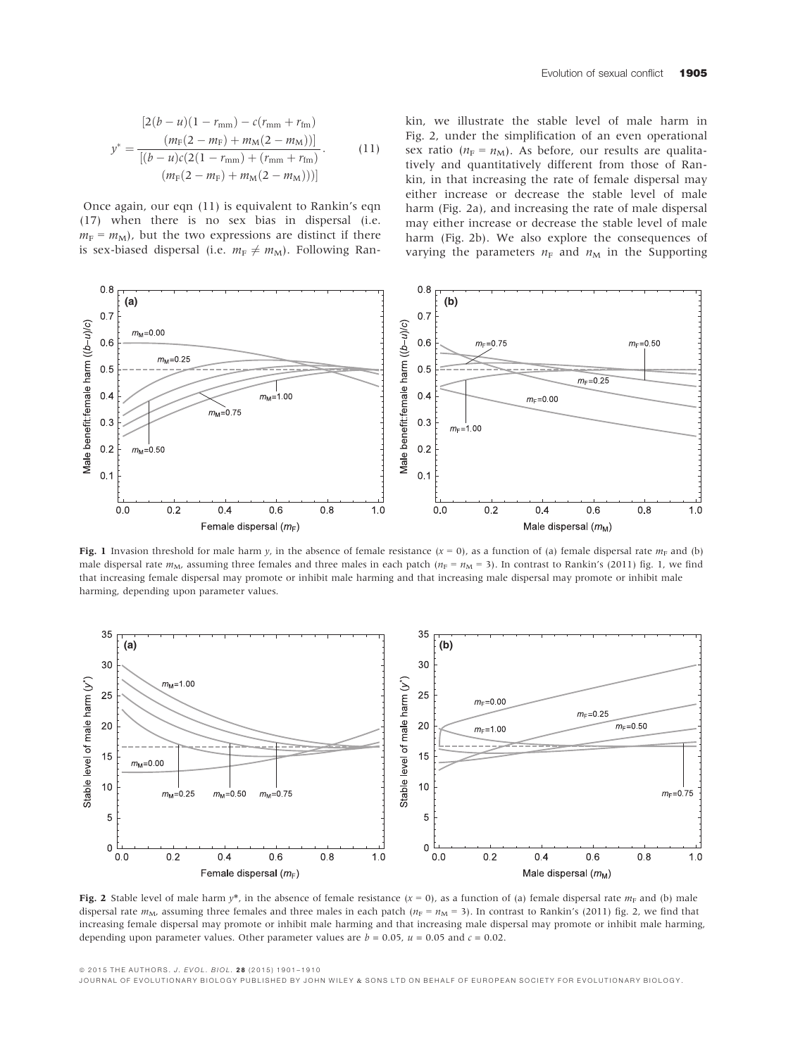$$
[2(b - u)(1 - r_{mm}) - c(r_{mm} + r_{\text{fm}})]
$$
  

$$
y^* = \frac{(m_{\text{F}}(2 - m_{\text{F}}) + m_{\text{M}}(2 - m_{\text{M}}))]}{[(b - u)c(2(1 - r_{mm}) + (r_{mm} + r_{\text{fm}}))}.
$$
 (11)  

$$
(m_{\text{F}}(2 - m_{\text{F}}) + m_{\text{M}}(2 - m_{\text{M}}))]
$$

Once again, our eqn (11) is equivalent to Rankin's eqn (17) when there is no sex bias in dispersal (i.e.  $m_F = m_M$ ), but the two expressions are distinct if there is sex-biased dispersal (i.e.  $m_F \neq m_M$ ). Following Rankin, we illustrate the stable level of male harm in Fig. 2, under the simplification of an even operational sex ratio ( $n_F = n_M$ ). As before, our results are qualitatively and quantitatively different from those of Rankin, in that increasing the rate of female dispersal may either increase or decrease the stable level of male harm (Fig. 2a), and increasing the rate of male dispersal may either increase or decrease the stable level of male harm (Fig. 2b). We also explore the consequences of varying the parameters  $n_F$  and  $n_M$  in the Supporting



Fig. 1 Invasion threshold for male harm y, in the absence of female resistance  $(x = 0)$ , as a function of (a) female dispersal rate  $m<sub>F</sub>$  and (b) male dispersal rate  $m_M$ , assuming three females and three males in each patch ( $n_F = n_M = 3$ ). In contrast to Rankin's (2011) fig. 1, we find that increasing female dispersal may promote or inhibit male harming and that increasing male dispersal may promote or inhibit male harming, depending upon parameter values.



Fig. 2 Stable level of male harm  $y^*$ , in the absence of female resistance  $(x = 0)$ , as a function of (a) female dispersal rate  $m_F$  and (b) male dispersal rate  $m_{\text{M}}$ , assuming three females and three males in each patch ( $n_F = n_M = 3$ ). In contrast to Rankin's (2011) fig. 2, we find that increasing female dispersal may promote or inhibit male harming and that increasing male dispersal may promote or inhibit male harming, depending upon parameter values. Other parameter values are  $b = 0.05$ ,  $u = 0.05$  and  $c = 0.02$ .

ª 2015 THE AUTHORS. J. EVOL. BIOL. 2 8 (2015) 1901–1910

JOURNAL OF EVOLUTIONARY BIOLOGY PUBLISHED BY JOHN WILEY & SONS LTD ON BEHALF OF EUROPEAN SOCIETY FOR EVOLUTIONARY BIOLOGY.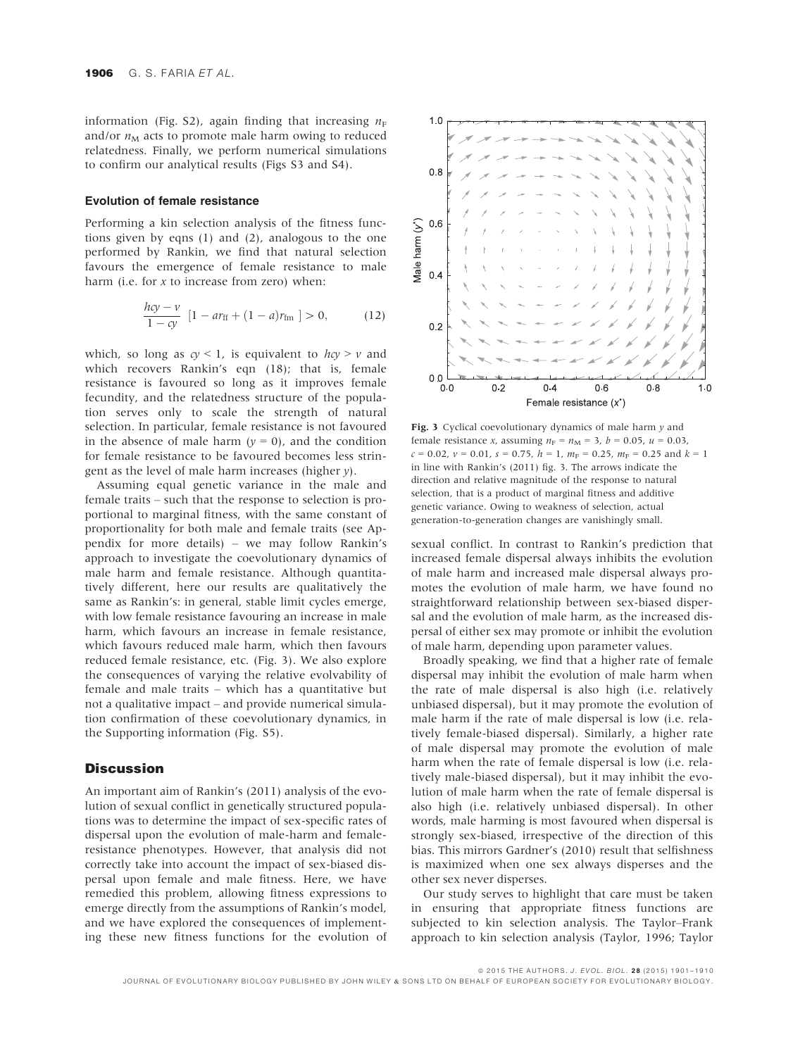information (Fig. S2), again finding that increasing  $n_F$ and/or  $n<sub>M</sub>$  acts to promote male harm owing to reduced relatedness. Finally, we perform numerical simulations to confirm our analytical results (Figs S3 and S4).

#### Evolution of female resistance

Performing a kin selection analysis of the fitness functions given by eqns (1) and (2), analogous to the one performed by Rankin, we find that natural selection favours the emergence of female resistance to male harm (i.e. for  $x$  to increase from zero) when:

$$
\frac{hc y - v}{1 - cy} \left[ 1 - ar_{\text{ff}} + (1 - a)r_{\text{fm}} \right] > 0, \tag{12}
$$

which, so long as  $cy < 1$ , is equivalent to  $hcy > v$  and which recovers Rankin's eqn (18); that is, female resistance is favoured so long as it improves female fecundity, and the relatedness structure of the population serves only to scale the strength of natural selection. In particular, female resistance is not favoured in the absence of male harm  $(y = 0)$ , and the condition for female resistance to be favoured becomes less stringent as the level of male harm increases (higher  $y$ ).

Assuming equal genetic variance in the male and female traits – such that the response to selection is proportional to marginal fitness, with the same constant of proportionality for both male and female traits (see Appendix for more details) – we may follow Rankin's approach to investigate the coevolutionary dynamics of male harm and female resistance. Although quantitatively different, here our results are qualitatively the same as Rankin's: in general, stable limit cycles emerge, with low female resistance favouring an increase in male harm, which favours an increase in female resistance, which favours reduced male harm, which then favours reduced female resistance, etc. (Fig. 3). We also explore the consequences of varying the relative evolvability of female and male traits – which has a quantitative but not a qualitative impact – and provide numerical simulation confirmation of these coevolutionary dynamics, in the Supporting information (Fig. S5).

## **Discussion**

An important aim of Rankin's (2011) analysis of the evolution of sexual conflict in genetically structured populations was to determine the impact of sex-specific rates of dispersal upon the evolution of male-harm and femaleresistance phenotypes. However, that analysis did not correctly take into account the impact of sex-biased dispersal upon female and male fitness. Here, we have remedied this problem, allowing fitness expressions to emerge directly from the assumptions of Rankin's model, and we have explored the consequences of implementing these new fitness functions for the evolution of



Fig. 3 Cyclical coevolutionary dynamics of male harm y and female resistance x, assuming  $n_F = n_M = 3$ ,  $b = 0.05$ ,  $u = 0.03$ ,  $c = 0.02$ ,  $v = 0.01$ ,  $s = 0.75$ ,  $h = 1$ ,  $m<sub>F</sub> = 0.25$ ,  $m<sub>F</sub> = 0.25$  and  $k = 1$ in line with Rankin's (2011) fig. 3. The arrows indicate the direction and relative magnitude of the response to natural selection, that is a product of marginal fitness and additive genetic variance. Owing to weakness of selection, actual generation-to-generation changes are vanishingly small.

sexual conflict. In contrast to Rankin's prediction that increased female dispersal always inhibits the evolution of male harm and increased male dispersal always promotes the evolution of male harm, we have found no straightforward relationship between sex-biased dispersal and the evolution of male harm, as the increased dispersal of either sex may promote or inhibit the evolution of male harm, depending upon parameter values.

Broadly speaking, we find that a higher rate of female dispersal may inhibit the evolution of male harm when the rate of male dispersal is also high (i.e. relatively unbiased dispersal), but it may promote the evolution of male harm if the rate of male dispersal is low (i.e. relatively female-biased dispersal). Similarly, a higher rate of male dispersal may promote the evolution of male harm when the rate of female dispersal is low (i.e. relatively male-biased dispersal), but it may inhibit the evolution of male harm when the rate of female dispersal is also high (i.e. relatively unbiased dispersal). In other words, male harming is most favoured when dispersal is strongly sex-biased, irrespective of the direction of this bias. This mirrors Gardner's (2010) result that selfishness is maximized when one sex always disperses and the other sex never disperses.

Our study serves to highlight that care must be taken in ensuring that appropriate fitness functions are subjected to kin selection analysis. The Taylor–Frank approach to kin selection analysis (Taylor, 1996; Taylor

© 2015 THE AUTHORS. J. EVOL. BIOL. 28 (2015) 1901-1910

JOURNAL OF EVOLUTIONARY BIOLOGY PUBLISHED BY JOHN WILEY & SONS LTD ON BEHALF OF EUROPEAN SOC IETY FOR EVOLUTIONARY BIOLOGY.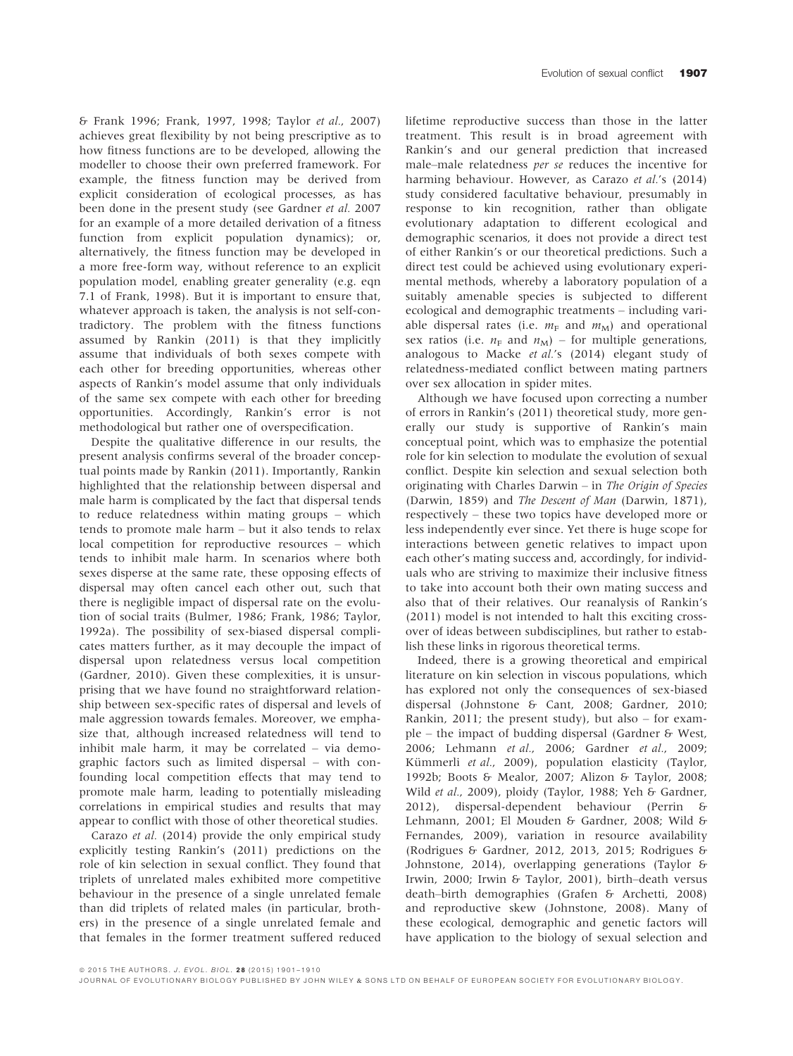& Frank 1996; Frank, 1997, 1998; Taylor et al., 2007) achieves great flexibility by not being prescriptive as to how fitness functions are to be developed, allowing the modeller to choose their own preferred framework. For example, the fitness function may be derived from explicit consideration of ecological processes, as has been done in the present study (see Gardner et al. 2007 for an example of a more detailed derivation of a fitness function from explicit population dynamics); or, alternatively, the fitness function may be developed in a more free-form way, without reference to an explicit population model, enabling greater generality (e.g. eqn 7.1 of Frank, 1998). But it is important to ensure that, whatever approach is taken, the analysis is not self-contradictory. The problem with the fitness functions assumed by Rankin (2011) is that they implicitly assume that individuals of both sexes compete with each other for breeding opportunities, whereas other aspects of Rankin's model assume that only individuals of the same sex compete with each other for breeding opportunities. Accordingly, Rankin's error is not methodological but rather one of overspecification.

Despite the qualitative difference in our results, the present analysis confirms several of the broader conceptual points made by Rankin (2011). Importantly, Rankin highlighted that the relationship between dispersal and male harm is complicated by the fact that dispersal tends to reduce relatedness within mating groups – which tends to promote male harm – but it also tends to relax local competition for reproductive resources – which tends to inhibit male harm. In scenarios where both sexes disperse at the same rate, these opposing effects of dispersal may often cancel each other out, such that there is negligible impact of dispersal rate on the evolution of social traits (Bulmer, 1986; Frank, 1986; Taylor, 1992a). The possibility of sex-biased dispersal complicates matters further, as it may decouple the impact of dispersal upon relatedness versus local competition (Gardner, 2010). Given these complexities, it is unsurprising that we have found no straightforward relationship between sex-specific rates of dispersal and levels of male aggression towards females. Moreover, we emphasize that, although increased relatedness will tend to inhibit male harm, it may be correlated – via demographic factors such as limited dispersal – with confounding local competition effects that may tend to promote male harm, leading to potentially misleading correlations in empirical studies and results that may appear to conflict with those of other theoretical studies.

Carazo et al. (2014) provide the only empirical study explicitly testing Rankin's (2011) predictions on the role of kin selection in sexual conflict. They found that triplets of unrelated males exhibited more competitive behaviour in the presence of a single unrelated female than did triplets of related males (in particular, brothers) in the presence of a single unrelated female and that females in the former treatment suffered reduced

lifetime reproductive success than those in the latter treatment. This result is in broad agreement with Rankin's and our general prediction that increased male–male relatedness per se reduces the incentive for harming behaviour. However, as Carazo et al.'s (2014) study considered facultative behaviour, presumably in response to kin recognition, rather than obligate evolutionary adaptation to different ecological and demographic scenarios, it does not provide a direct test of either Rankin's or our theoretical predictions. Such a direct test could be achieved using evolutionary experimental methods, whereby a laboratory population of a suitably amenable species is subjected to different ecological and demographic treatments – including variable dispersal rates (i.e.  $m_F$  and  $m_M$ ) and operational sex ratios (i.e.  $n_F$  and  $n_M$ ) – for multiple generations, analogous to Macke et al.'s (2014) elegant study of relatedness-mediated conflict between mating partners over sex allocation in spider mites.

Although we have focused upon correcting a number of errors in Rankin's (2011) theoretical study, more generally our study is supportive of Rankin's main conceptual point, which was to emphasize the potential role for kin selection to modulate the evolution of sexual conflict. Despite kin selection and sexual selection both originating with Charles Darwin – in The Origin of Species (Darwin, 1859) and The Descent of Man (Darwin, 1871), respectively – these two topics have developed more or less independently ever since. Yet there is huge scope for interactions between genetic relatives to impact upon each other's mating success and, accordingly, for individuals who are striving to maximize their inclusive fitness to take into account both their own mating success and also that of their relatives. Our reanalysis of Rankin's (2011) model is not intended to halt this exciting crossover of ideas between subdisciplines, but rather to establish these links in rigorous theoretical terms.

Indeed, there is a growing theoretical and empirical literature on kin selection in viscous populations, which has explored not only the consequences of sex-biased dispersal (Johnstone & Cant, 2008; Gardner, 2010; Rankin, 2011; the present study), but also – for example – the impact of budding dispersal (Gardner & West, 2006; Lehmann et al., 2006; Gardner et al., 2009; Kümmerli et al., 2009), population elasticity (Taylor, 1992b; Boots & Mealor, 2007; Alizon & Taylor, 2008; Wild et al., 2009), ploidy (Taylor, 1988; Yeh & Gardner, 2012), dispersal-dependent behaviour (Perrin & Lehmann, 2001; El Mouden & Gardner, 2008; Wild & Fernandes, 2009), variation in resource availability (Rodrigues & Gardner, 2012, 2013, 2015; Rodrigues & Johnstone, 2014), overlapping generations (Taylor & Irwin, 2000; Irwin & Taylor, 2001), birth–death versus death–birth demographies (Grafen & Archetti, 2008) and reproductive skew (Johnstone, 2008). Many of these ecological, demographic and genetic factors will have application to the biology of sexual selection and

ª 2015 THE AUTHORS. J. EVOL. BIOL. 2 8 (2015) 1901–1910

JOURNAL OF EVOLUTIONARY BIOLOGY PUBLISHED BY JOHN WILEY & SONS LTD ON BEHALF OF EUROPEAN SOCIETY FOR EVOLUTIONARY BIOLOGY.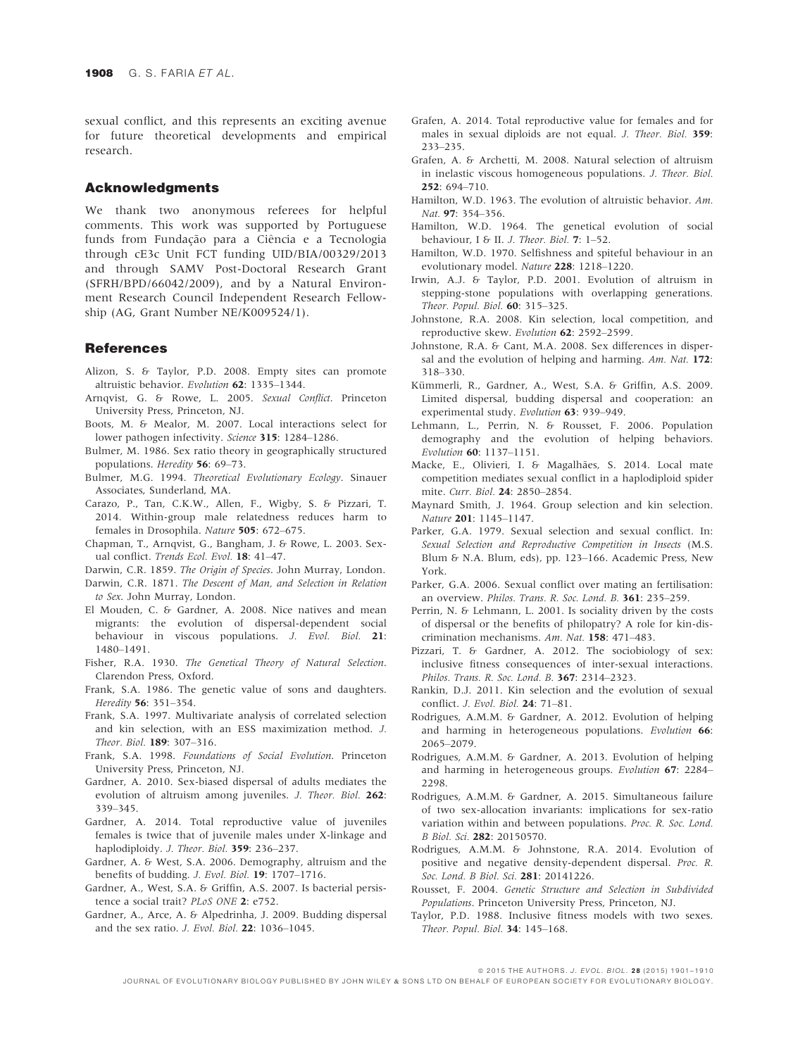sexual conflict, and this represents an exciting avenue for future theoretical developments and empirical research.

## Acknowledgments

We thank two anonymous referees for helpful comments. This work was supported by Portuguese funds from Fundação para a Ciência e a Tecnologia through cE3c Unit FCT funding UID/BIA/00329/2013 and through SAMV Post-Doctoral Research Grant (SFRH/BPD/66042/2009), and by a Natural Environment Research Council Independent Research Fellowship (AG, Grant Number NE/K009524/1).

## **References**

- Alizon, S. & Taylor, P.D. 2008. Empty sites can promote altruistic behavior. Evolution 62: 1335–1344.
- Arnqvist, G. & Rowe, L. 2005. Sexual Conflict. Princeton University Press, Princeton, NJ.
- Boots, M. & Mealor, M. 2007. Local interactions select for lower pathogen infectivity. Science 315: 1284–1286.
- Bulmer, M. 1986. Sex ratio theory in geographically structured populations. Heredity 56: 69-73.
- Bulmer, M.G. 1994. Theoretical Evolutionary Ecology. Sinauer Associates, Sunderland, MA.
- Carazo, P., Tan, C.K.W., Allen, F., Wigby, S. & Pizzari, T. 2014. Within-group male relatedness reduces harm to females in Drosophila. Nature 505: 672–675.
- Chapman, T., Arnqvist, G., Bangham, J. & Rowe, L. 2003. Sexual conflict. Trends Ecol. Evol. 18: 41-47.
- Darwin, C.R. 1859. The Origin of Species. John Murray, London.
- Darwin, C.R. 1871. The Descent of Man, and Selection in Relation to Sex. John Murray, London.
- El Mouden, C. & Gardner, A. 2008. Nice natives and mean migrants: the evolution of dispersal-dependent social behaviour in viscous populations. J. Evol. Biol. 21: 1480–1491.
- Fisher, R.A. 1930. The Genetical Theory of Natural Selection. Clarendon Press, Oxford.
- Frank, S.A. 1986. The genetic value of sons and daughters. Heredity 56: 351–354.
- Frank, S.A. 1997. Multivariate analysis of correlated selection and kin selection, with an ESS maximization method. J. Theor. Biol. 189: 307–316.
- Frank, S.A. 1998. Foundations of Social Evolution. Princeton University Press, Princeton, NJ.
- Gardner, A. 2010. Sex-biased dispersal of adults mediates the evolution of altruism among juveniles. J. Theor. Biol. 262: 339–345.
- Gardner, A. 2014. Total reproductive value of juveniles females is twice that of juvenile males under X-linkage and haplodiploidy. J. Theor. Biol. 359: 236-237.
- Gardner, A. & West, S.A. 2006. Demography, altruism and the benefits of budding. J. Evol. Biol. 19: 1707–1716.
- Gardner, A., West, S.A. & Griffin, A.S. 2007. Is bacterial persistence a social trait? PLoS ONE 2: e752.
- Gardner, A., Arce, A. & Alpedrinha, J. 2009. Budding dispersal and the sex ratio. J. Evol. Biol. 22: 1036–1045.
- Grafen, A. 2014. Total reproductive value for females and for males in sexual diploids are not equal. J. Theor. Biol. 359: 233–235.
- Grafen, A. & Archetti, M. 2008. Natural selection of altruism in inelastic viscous homogeneous populations. J. Theor. Biol. 252: 694–710.
- Hamilton, W.D. 1963. The evolution of altruistic behavior. Am. Nat. 97: 354–356.
- Hamilton, W.D. 1964. The genetical evolution of social behaviour, I & II. J. Theor. Biol.  $7: 1-52$ .
- Hamilton, W.D. 1970. Selfishness and spiteful behaviour in an evolutionary model. Nature 228: 1218–1220.
- Irwin, A.J. & Taylor, P.D. 2001. Evolution of altruism in stepping-stone populations with overlapping generations. Theor. Popul. Biol. 60: 315–325.
- Johnstone, R.A. 2008. Kin selection, local competition, and reproductive skew. Evolution 62: 2592-2599.
- Johnstone, R.A. & Cant, M.A. 2008. Sex differences in dispersal and the evolution of helping and harming. Am. Nat. 172: 318–330.
- Kümmerli, R., Gardner, A., West, S.A. & Griffin, A.S. 2009. Limited dispersal, budding dispersal and cooperation: an experimental study. Evolution 63: 939–949.
- Lehmann, L., Perrin, N. & Rousset, F. 2006. Population demography and the evolution of helping behaviors. Evolution 60: 1137–1151.
- Macke, E., Olivieri, I. & Magalhães, S. 2014. Local mate competition mediates sexual conflict in a haplodiploid spider mite. Curr. Biol. 24: 2850–2854.
- Maynard Smith, J. 1964. Group selection and kin selection. Nature 201: 1145–1147.
- Parker, G.A. 1979. Sexual selection and sexual conflict. In: Sexual Selection and Reproductive Competition in Insects (M.S. Blum & N.A. Blum, eds), pp. 123–166. Academic Press, New York.
- Parker, G.A. 2006. Sexual conflict over mating an fertilisation: an overview. Philos. Trans. R. Soc. Lond. B. 361: 235-259.
- Perrin, N. & Lehmann, L. 2001. Is sociality driven by the costs of dispersal or the benefits of philopatry? A role for kin-discrimination mechanisms. Am. Nat. 158: 471–483.
- Pizzari, T. & Gardner, A. 2012. The sociobiology of sex: inclusive fitness consequences of inter-sexual interactions. Philos. Trans. R. Soc. Lond. B. 367: 2314–2323.
- Rankin, D.J. 2011. Kin selection and the evolution of sexual conflict. J. Evol. Biol. 24: 71–81.
- Rodrigues, A.M.M. & Gardner, A. 2012. Evolution of helping and harming in heterogeneous populations. Evolution 66: 2065–2079.
- Rodrigues, A.M.M. & Gardner, A. 2013. Evolution of helping and harming in heterogeneous groups. Evolution 67: 2284– 2298.
- Rodrigues, A.M.M. & Gardner, A. 2015. Simultaneous failure of two sex-allocation invariants: implications for sex-ratio variation within and between populations. Proc. R. Soc. Lond. B Biol. Sci. 282: 20150570.
- Rodrigues, A.M.M. & Johnstone, R.A. 2014. Evolution of positive and negative density-dependent dispersal. Proc. R. Soc. Lond. B Biol. Sci. 281: 20141226.
- Rousset, F. 2004. Genetic Structure and Selection in Subdivided Populations. Princeton University Press, Princeton, NJ.
- Taylor, P.D. 1988. Inclusive fitness models with two sexes. Theor. Popul. Biol. 34: 145–168.

ª 2015 THE AUTHORS. J. EVOL. BIOL. 2 8 (2015) 1901–1910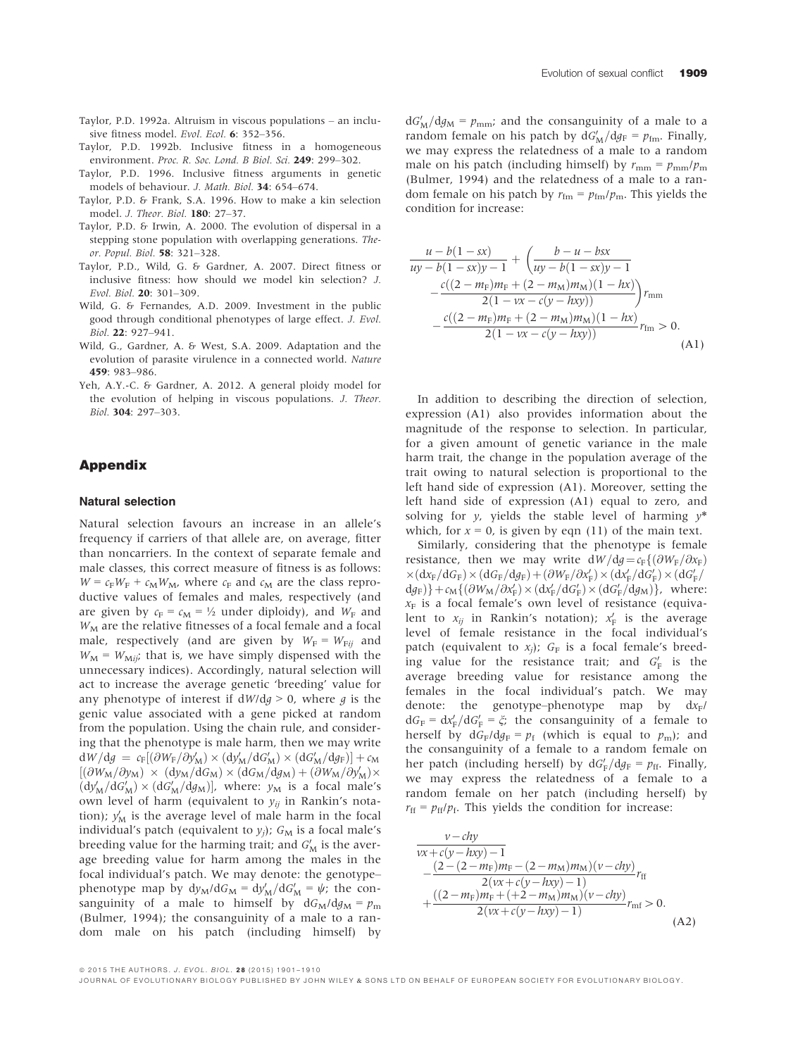- Taylor, P.D. 1992a. Altruism in viscous populations an inclusive fitness model. Evol. Ecol. 6: 352-356.
- Taylor, P.D. 1992b. Inclusive fitness in a homogeneous environment. Proc. R. Soc. Lond. B Biol. Sci. 249: 299-302.
- Taylor, P.D. 1996. Inclusive fitness arguments in genetic models of behaviour. J. Math. Biol. 34: 654–674.
- Taylor, P.D. & Frank, S.A. 1996. How to make a kin selection model. J. Theor. Biol. 180: 27–37.
- Taylor, P.D. & Irwin, A. 2000. The evolution of dispersal in a stepping stone population with overlapping generations. Theor. Popul. Biol. 58: 321–328.
- Taylor, P.D., Wild, G. & Gardner, A. 2007. Direct fitness or inclusive fitness: how should we model kin selection? J. Evol. Biol. 20: 301–309.
- Wild, G. & Fernandes, A.D. 2009. Investment in the public good through conditional phenotypes of large effect. J. Evol. Biol. 22: 927–941.
- Wild, G., Gardner, A. & West, S.A. 2009. Adaptation and the evolution of parasite virulence in a connected world. Nature 459: 983–986.
- Yeh, A.Y.-C. & Gardner, A. 2012. A general ploidy model for the evolution of helping in viscous populations. J. Theor. Biol. 304: 297–303.

## Appendix

#### Natural selection

Natural selection favours an increase in an allele's frequency if carriers of that allele are, on average, fitter than noncarriers. In the context of separate female and male classes, this correct measure of fitness is as follows:  $W = c_{\rm F}W_{\rm F} + c_{\rm M}W_{\rm M}$ , where  $c_{\rm F}$  and  $c_{\rm M}$  are the class reproductive values of females and males, respectively (and are given by  $c_F = c_M = \frac{1}{2}$  under diploidy), and  $W_F$  and  $W_M$  are the relative fitnesses of a focal female and a focal male, respectively (and are given by  $W_F = W_{Fij}$  and  $W_M = W_{Mij}$ ; that is, we have simply dispensed with the unnecessary indices). Accordingly, natural selection will act to increase the average genetic 'breeding' value for any phenotype of interest if  $dW/dg > 0$ , where g is the genic value associated with a gene picked at random from the population. Using the chain rule, and considering that the phenotype is male harm, then we may write  $dW/dg = c_F[(\partial W_F/\partial y_M') \times (dy_M'/dG_M') \times (dG_M/dg_F)] + c_M$  $[(\partial W_M/\partial y_M) \times (dy_M/dG_M) \times (dG_M/dg_M) + (\partial W_M/\partial y_M') \times$  $\frac{d\mathbf{y}_M}{dG_M'}\times \frac{d\mathbf{y}_M}{dG_M'}\times \frac{d\mathbf{y}_M}{d\mathbf{y}_M}$ , where:  $\mathbf{y}_M$  is a focal male's<br>own level of barm (equivalent to  $\mathbf{y}_M$  is Papkin's notaown level of harm (equivalent to  $y_{ij}$  in Rankin's notation);  $y'_M$  is the average level of male harm in the focal individual's patch (equivalent to  $y_i$ );  $G_M$  is a focal male's breeding value for the harming trait; and  $G'_{\text{M}}$  is the average breeding value for harm among the males in the focal individual's patch. We may denote: the genotype– phenotype map by  $dy_M/dG_M = dy'_M/dG'_M = \psi$ ; the consanguinity of a male to himself by  $dG_M/dg_M = p_m$ (Bulmer, 1994); the consanguinity of a male to a random male on his patch (including himself) by  $dG'_{\rm M}/d\mathfrak{g}_{\rm M} = p_{\rm mm}$ ; and the consanguinity of a male to a random female on his patch by  $dG'_{M}/dg_F = p_{fm}$ . Finally, we may express the relatedness of a male to a random male on his patch (including himself) by  $r_{\text{mm}} = p_{\text{mm}}/p_{\text{m}}$ (Bulmer, 1994) and the relatedness of a male to a random female on his patch by  $r_{\text{fm}} = p_{\text{fm}}/p_{\text{m}}$ . This yields the condition for increase:

$$
\frac{u - b(1 - sx)}{uy - b(1 - sx)y - 1} + \left(\frac{b - u - bsx}{uy - b(1 - sx)y - 1}\right) - \frac{c((2 - m_{\rm F})m_{\rm F} + (2 - m_{\rm M})m_{\rm M})(1 - hx)}{2(1 - vx - c(y - hx))}\Big) r_{\rm mm}
$$

$$
-\frac{c((2 - m_{\rm F})m_{\rm F} + (2 - m_{\rm M})m_{\rm M})(1 - hx)}{2(1 - vx - c(y - hx))} r_{\rm fm} > 0.
$$
(A1)

In addition to describing the direction of selection, expression (A1) also provides information about the magnitude of the response to selection. In particular, for a given amount of genetic variance in the male harm trait, the change in the population average of the trait owing to natural selection is proportional to the left hand side of expression (A1). Moreover, setting the left hand side of expression (A1) equal to zero, and solving for y, yields the stable level of harming  $y^*$ which, for  $x = 0$ , is given by eqn (11) of the main text.

Similarly, considering that the phenotype is female resistance, then we may write  $dW/dg = c_F \{(\partial W_F/\partial x_F)$  $\times$   $(d_{xF}/d_{yF}) \times (d_{yF}/d_{yF}) + (\partial W_{y}/\partial x_{y}^{\prime}) \times (dx^{\prime}/d_{yF}) \times (dx^{\prime}/dx_{y}) \times (d_{yF}/dx_{y})$  $dg_F$ } +  $c_M$ { $(\partial W_M/\partial x'_F) \times (dx'_F/dG'_F) \times (dG'_F/dg_M)$ }, where:  $x_F$  is a focal female's own level of resistance (equivalent to  $x_{ij}$  in Rankin's notation);  $x'_{F}$  is the average level of female resistance in the focal individual's patch (equivalent to  $x_i$ );  $G_F$  is a focal female's breeding value for the resistance trait; and  $G_F'$  is the average breeding value for resistance among the females in the focal individual's patch. We may denote: the genotype–phenotype map by  $dx_F$ /  $dG_F = dx'_F/dG'_F = \xi$ ; the consanguinity of a female to herself by  $dG_F/dg_F = p_f$  (which is equal to  $p_m$ ); and the consanguinity of a female to a random female on her patch (including herself) by  $dG_F/dg_F = p_{ff}$ . Finally, we may express the relatedness of a female to a random female on her patch (including herself) by  $r_{\text{ff}} = p_{\text{ff}}/p_{\text{f}}$ . This yields the condition for increase:

$$
\frac{v-chy}{vx + c(y - hxy) - 1} - \frac{(2 - (2 - m_{\rm F})m_{\rm F} - (2 - m_{\rm M})m_{\rm M})(v-chy)}{2(vx + c(y - hxy) - 1)}r_{\rm ff} + \frac{((2 - m_{\rm F})m_{\rm F} + (+2 - m_{\rm M})m_{\rm M})(v-chy)}{2(vx + c(y - hxy) - 1)}r_{\rm mf} > 0.
$$
\n(A2)

ª 2015 THE AUTHORS. J. EVOL. BIOL. 2 8 (2015) 1901–1910

JOURNAL OF EVOLUTIONARY BIOLOGY PUBLISHED BY JOHN WILEY & SONS LTD ON BEHALF OF EUROPEAN SOCIETY FOR EVOLUTIONARY BIOLOGY.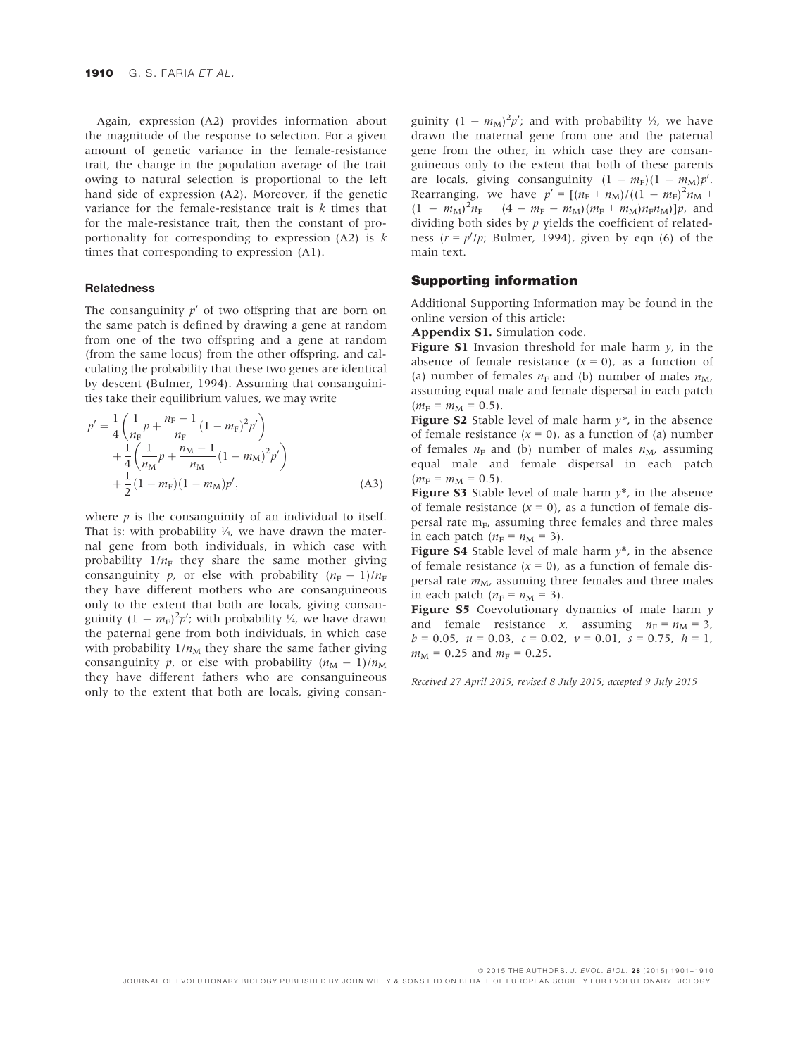Again, expression (A2) provides information about the magnitude of the response to selection. For a given amount of genetic variance in the female-resistance trait, the change in the population average of the trait owing to natural selection is proportional to the left hand side of expression (A2). Moreover, if the genetic variance for the female-resistance trait is  $k$  times that for the male-resistance trait, then the constant of proportionality for corresponding to expression  $(A2)$  is  $k$ times that corresponding to expression (A1).

#### **Relatedness**

The consanguinity  $p'$  of two offspring that are born on the same patch is defined by drawing a gene at random from one of the two offspring and a gene at random (from the same locus) from the other offspring, and calculating the probability that these two genes are identical by descent (Bulmer, 1994). Assuming that consanguinities take their equilibrium values, we may write

$$
p' = \frac{1}{4} \left( \frac{1}{n_{\rm F}} p + \frac{n_{\rm F} - 1}{n_{\rm F}} (1 - m_{\rm F})^2 p' \right) + \frac{1}{4} \left( \frac{1}{n_{\rm M}} p + \frac{n_{\rm M} - 1}{n_{\rm M}} (1 - m_{\rm M})^2 p' \right) + \frac{1}{2} (1 - m_{\rm F}) (1 - m_{\rm M}) p', \tag{A3}
$$

where  $p$  is the consanguinity of an individual to itself. That is: with probability  $\frac{1}{4}$ , we have drawn the maternal gene from both individuals, in which case with probability  $1/n_F$  they share the same mother giving consanguinity p, or else with probability  $(n_F - 1)/n_F$ they have different mothers who are consanguineous only to the extent that both are locals, giving consanguinity  $(1 - m_F)^2 p'$ ; with probability ¼, we have drawn<br>the paternal gene from both individuals in which case the paternal gene from both individuals, in which case with probability  $1/n_M$  they share the same father giving consanguinity p, or else with probability  $(n_M - 1)/n_M$ they have different fathers who are consanguineous only to the extent that both are locals, giving consan-

guinity  $(1 - m_M)^2 p'$ ; and with probability  $\frac{1}{2}$ , we have<br>drawn the maternal gene from one and the naternal drawn the maternal gene from one and the paternal gene from the other, in which case they are consanguineous only to the extent that both of these parents are locals, giving consanguinity  $(1 - m_F)(1 - m_M)p'$ .<br>Rearranging we have  $n' = [(n_+ + n_+)/(1 - m_-)^2]_{n_+}$ . Rearranging, we have  $p' = [(n_F + n_M)/((1 - m_F)^2 n_M + (1 - m_{\odot})^2 n_{\odot} + (M_{\odot} - m_{\odot} - m_{\odot}) (m_{\odot} + m_{\odot}) n_{\odot} + (M_{\odot} - m_{\odot} - m_{\odot}) n_{\odot} + (M_{\odot} - m_{\odot}) n_{\odot} + (M_{\odot} - m_{\odot} - m_{\odot}) n_{\odot} + (M_{\odot} - m_{\odot} - m_{\odot}) n_{\odot} + (M_{\odot} - m_{\odot})$  $(1 - m_M)^2 n_F + (4 - m_F - m_M)(m_F + m_M)n_F n_M$ ]*p*, and<br>dividing both sides by *n* vields the coefficient of related. dividing both sides by  $p$  yields the coefficient of relatedness ( $r = p'/p$ ; Bulmer, 1994), given by eqn (6) of the main text.

#### Supporting information

Additional Supporting Information may be found in the online version of this article:

Appendix S1. Simulation code.

**Figure S1** Invasion threshold for male harm  $\nu$ , in the absence of female resistance  $(x = 0)$ , as a function of (a) number of females  $n_F$  and (b) number of males  $n_M$ , assuming equal male and female dispersal in each patch  $(m_F = m_M = 0.5)$ .

Figure S2 Stable level of male harm  $y^*$ , in the absence of female resistance  $(x = 0)$ , as a function of (a) number of females  $n_F$  and (b) number of males  $n_M$ , assuming equal male and female dispersal in each patch  $(m_F = m_M = 0.5)$ .

**Figure S3** Stable level of male harm  $y^*$ , in the absence of female resistance  $(x = 0)$ , as a function of female dispersal rate  $m_F$ , assuming three females and three males in each patch ( $n_F = n_M = 3$ ).

**Figure S4** Stable level of male harm  $y^*$ , in the absence of female resistance  $(x = 0)$ , as a function of female dispersal rate  $m<sub>M</sub>$ , assuming three females and three males in each patch ( $n_F = n_M = 3$ ).

Figure S5 Coevolutionary dynamics of male harm  $y$ and female resistance x, assuming  $n_F = n_M = 3$ ,  $b = 0.05$ ,  $u = 0.03$ ,  $c = 0.02$ ,  $v = 0.01$ ,  $s = 0.75$ ,  $h = 1$ ,  $m_M = 0.25$  and  $m_F = 0.25$ .

Received 27 April 2015; revised 8 July 2015; accepted 9 July 2015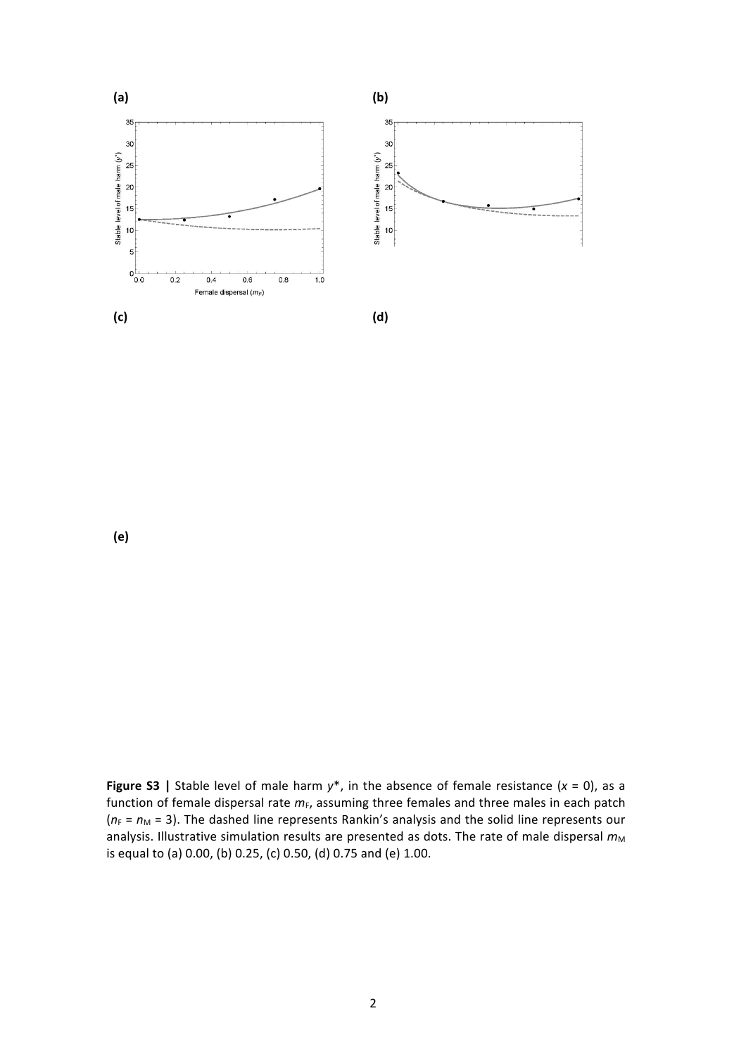

**(e)**

**Figure S3** | Stable level of male harm  $y^*$ , in the absence of female resistance  $(x = 0)$ , as a function of female dispersal rate  $m_F$ , assuming three females and three males in each patch  $(n_F = n_M = 3)$ . The dashed line represents Rankin's analysis and the solid line represents our analysis. Illustrative simulation results are presented as dots. The rate of male dispersal  $m_M$ is equal to (a) 0.00, (b) 0.25, (c) 0.50, (d) 0.75 and (e) 1.00.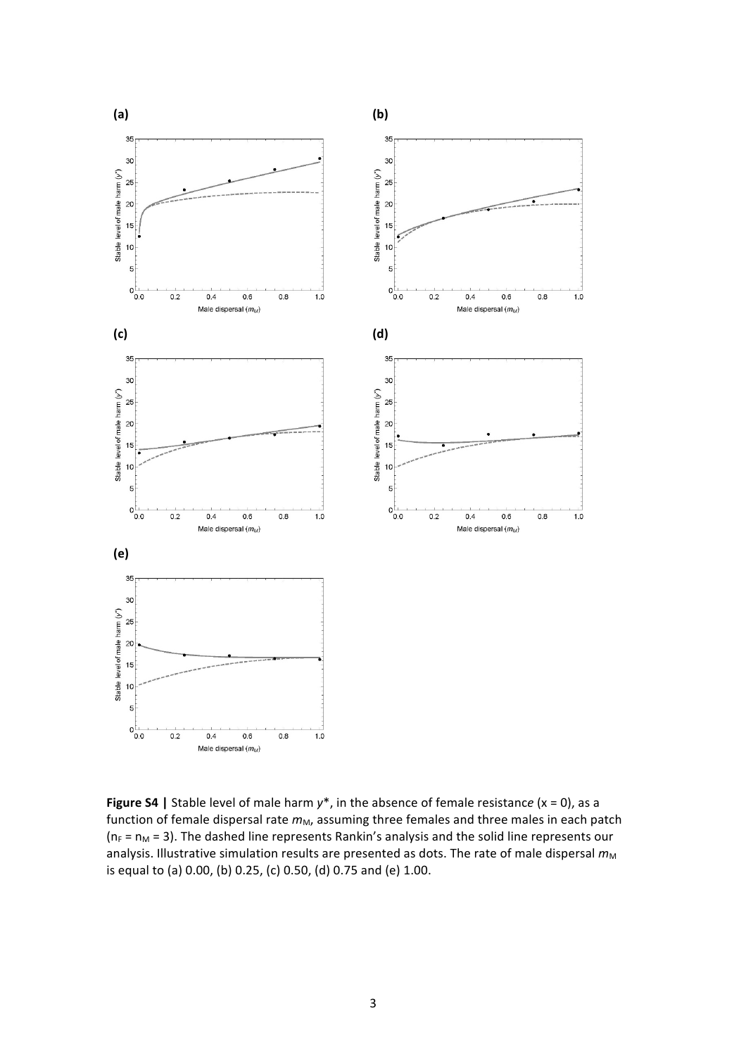

**Figure S4** | Stable level of male harm  $y^*$ , in the absence of female resistance  $(x = 0)$ , as a function of female dispersal rate  $m_M$ , assuming three females and three males in each patch ( $n_F$  =  $n_M$  = 3). The dashed line represents Rankin's analysis and the solid line represents our analysis. Illustrative simulation results are presented as dots. The rate of male dispersal  $m_M$ is equal to (a) 0.00, (b) 0.25, (c) 0.50, (d) 0.75 and (e) 1.00.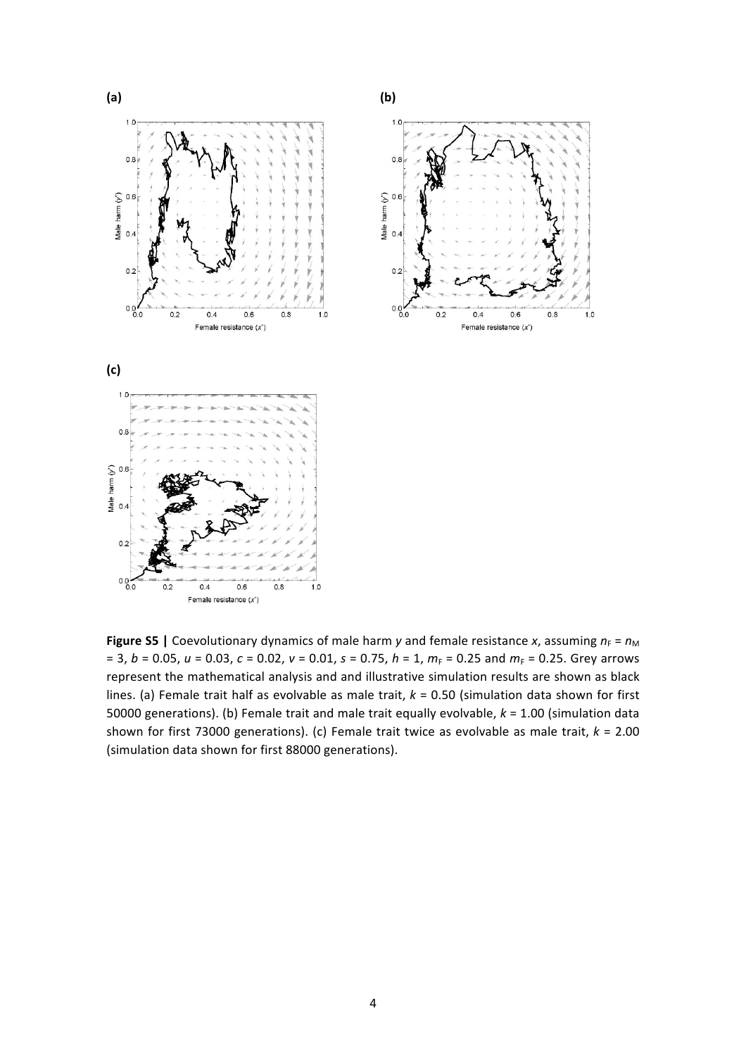

**Figure S5** | Coevolutionary dynamics of male harm y and female resistance x, assuming  $n_F = n_M$ = 3,  $b$  = 0.05,  $u$  = 0.03,  $c$  = 0.02,  $v$  = 0.01,  $s$  = 0.75,  $h$  = 1,  $m_F$  = 0.25 and  $m_F$  = 0.25. Grey arrows represent the mathematical analysis and and illustrative simulation results are shown as black lines. (a) Female trait half as evolvable as male trait,  $k = 0.50$  (simulation data shown for first 50000 generations). (b) Female trait and male trait equally evolvable,  $k = 1.00$  (simulation data shown for first 73000 generations). (c) Female trait twice as evolvable as male trait,  $k = 2.00$ (simulation data shown for first 88000 generations).

4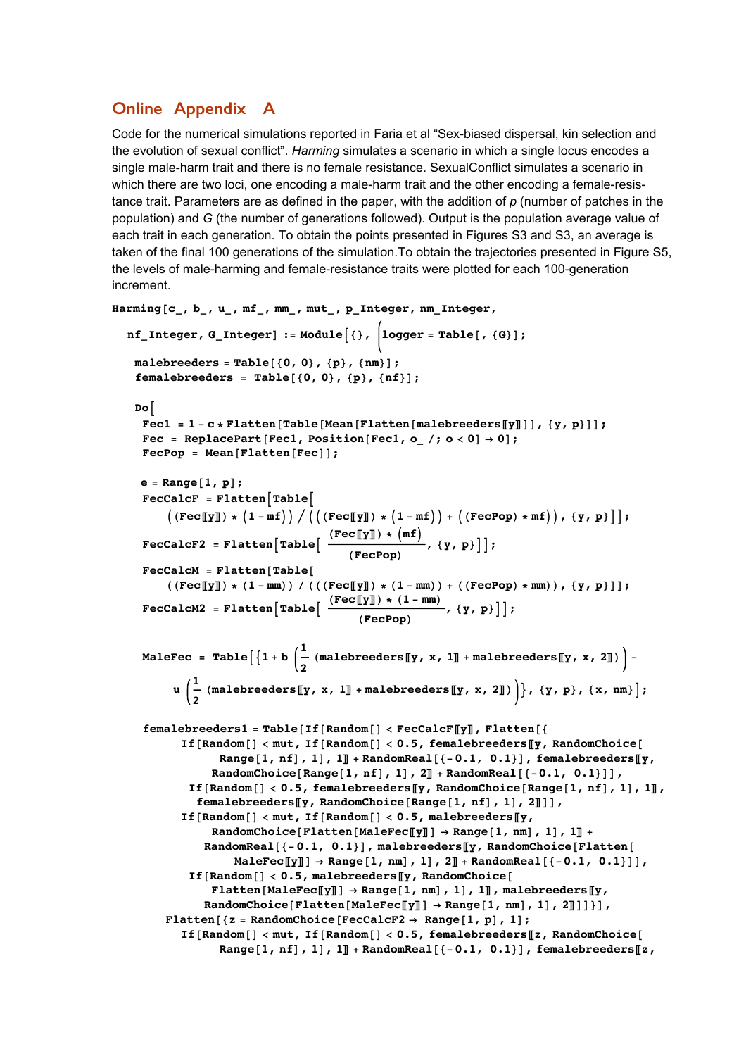# **Online Appendix A**

Code for the numerical simulations reported in Faria et al "Sex-biased dispersal, kin selection and the evolution of sexual conflict". *Harming* simulates a scenario in which a single locus encodes a single male-harm trait and there is no female resistance. SexualConflict simulates a scenario in which there are two loci, one encoding a male-harm trait and the other encoding a female-resistance trait. Parameters are as defined in the paper, with the addition of *p* (number of patches in the population) and *G* (the number of generations followed). Output is the population average value of each trait in each generation. To obtain the points presented in Figures S3 and S3, an average is taken of the final 100 generations of the simulation.To obtain the trajectories presented in Figure S5, the levels of male-harming and female-resistance traits were plotted for each 100-generation increment.

```
Harming[c_, b_, u_, mf_, mm_, mut_, p_Integer, nm_Integer,
  nf_Integer, G_Integer] := Module{}, logger = Table[, {G}];
    malebreeders = Table[{0, 0}, {p}, {nm}];
     femalebreeders = Table[{0, 0}, {p}, {nf}];
     Do
      Fec1 = 1 - c * Flatten [Table [Mean [Flatten [malebreeders [[Y]]], {\gamma, p}]];
      Fec = ReplacePart[Fec1, Position[Fec1, o_ /; o < 0] → 0];
      FecPop = Mean[Flatten[Fec]];
      e = Range[1, p];
      \text{FecCalcF} = \text{Flatten}[\text{Table}]\big( \left( \, \texttt{Fac} \, \llbracket y \rrbracket \, \right) \, \star \, \big( \, 1 \, - \, \texttt{mf} \, \big) \, \big) \, \big/ \, \big( \, \big( \, \left( \, \texttt{Fac} \, \llbracket y \rrbracket \, \right) \, \star \, \big( \, 1 \, - \, \texttt{mf} \, \big) \, \big) \, + \, \big( \, \left( \, \texttt{FacPop} \, \right) \, \star \, \texttt{mf} \, \big) \, \big) \, \, , \, \, \{ \, y \, , \, \, p \, \}FecCalcF2 = FlattenTable (Fec〚y〛) * mf
                                                    (FecPop) , {y, p};
      FecCalcM = Flatten[Table[
            ((\text{Fec}[[y]]) * (1 - mm)) / (((\text{Fec}[[y]]) * (1 - mm)) + ((\text{FecPop}) * mm)), {y, p}]];FecCalcM2 = Flatten \left[ \frac{\text{Fec}[\![\mathbf{y}]\!]) \; * \; (1 - mm)}{\text{(FecPop)}}, \{ \mathbf{y}, \; \mathbf{p} \} \right];
       <code>MaleFec = Table\left[\, \left\{ 1 + \mathbf{b} \ \right| \right. \right]</code>
                                          2
                                            (\text{malebreakers}[\![\mathbf{y}, \mathbf{x}, \mathbf{1}]\!] + \text{malebreakers}[\![\mathbf{y}, \mathbf{x}, \mathbf{2}]\!] ) -
             \frac{1}{2}2
                    (\text{malebreeders}[[y, x, 1]] + \text{malebreeders}[[y, x, 2]]) }, {y, p}, {x, nm} };
      femalebreeders1 = \text{Table} [\text{If} [\text{Random} [] < \text{F}ecCalcF\text{[[y]]}, \text{Flatten} [\text{[f]}If[Random[] < mut, If[Random[] < 0.5, femalebreeders〚y, RandomChoice[
                       Range[1, nf], 1], 1〛 + RandomReal[{-0.1, 0.1}], femalebreeders〚y,
                      RandomChoice[Range[1, nf], 1], 2〛 + RandomReal[{-0.1, 0.1}]],
                 If [Random [] < 0.5, femalebreeders [y, RandomChoice [Range [1, nf], 1], 1],
                  femalebreeders〚y, RandomChoice[Range[1, nf], 1], 2〛]],
               If[Random[] <math>~</math>\text{RandomChoice}[\text{Flatten}[\text{MaleFec}[\texttt{y}]]] \rightarrow \text{Range}[1, \text{ nm}], 1], 1RandomReal[{-0.1, 0.1}], malebreeders〚y, RandomChoice[Flatten[
                          MaleFec〚y〛] → Range[1, nm], 1], 2〛 + RandomReal[{-0.1, 0.1}]],
                 If[Random[] < 0.5, malebreeders〚y, RandomChoice[
                     \text{Flatten}[\text{MaleFec}[\![y]\!]] \rightarrow \text{Range}[1, \text{ nm}], 1], 1], \text{ malebreeders}[\![y],\texttt{RandomChoice}[\texttt{Flatten}[\texttt{MaleFec}[\texttt{y}]]] \rightarrow \texttt{Range}[1, \texttt{nm}], 1], 2]]]]Flatten[ {z = RandomChoice[FeccCalcF2 \rightarrow Range[1, p], 1]}If[Random[] < mut, If[Random[] < 0.5, femalebreeders〚z, RandomChoice[
                       Range[1, nf], 1], 1〛 + RandomReal[{-0.1, 0.1}], femalebreeders〚z,
```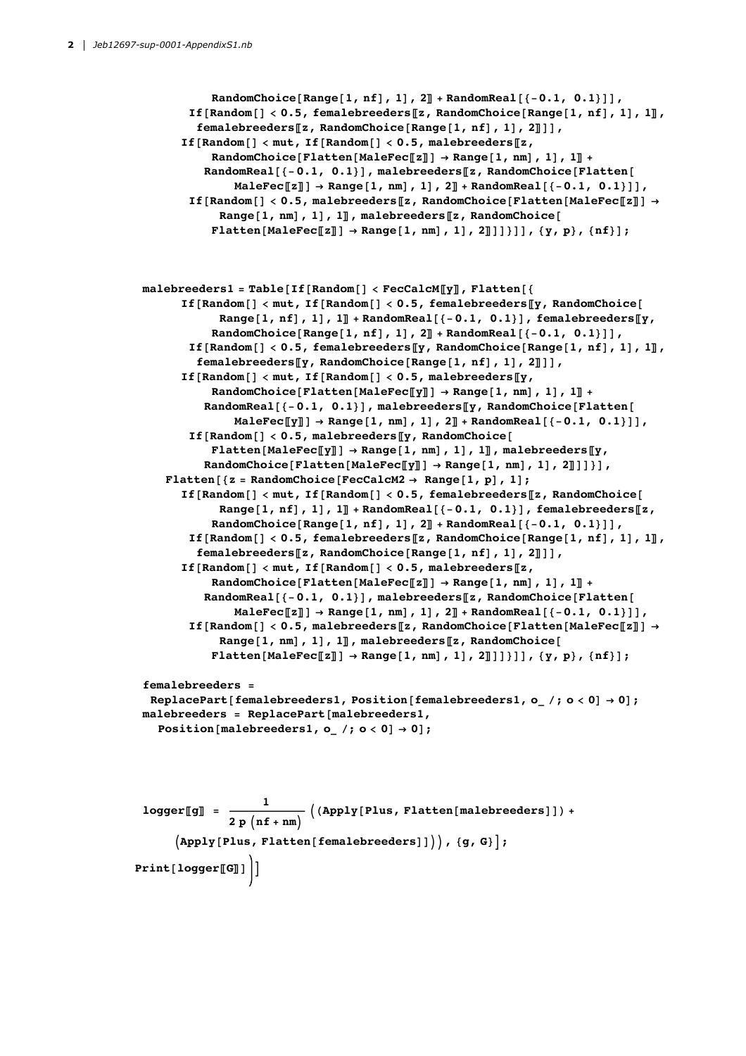```
RandomChoice[Range[1, nf], 1], 2〛 + RandomReal[{-0.1, 0.1}]],
       If [Random[] < 0.5, femalebreeders [z, RandomChoice [Range [1, nf], 1], 1],
        femalebreeders〚z, RandomChoice[Range[1, nf], 1], 2〛]],
      If[Random[] < mut, If[Random[] < 0.5, malebreeders〚z,
           RandomChoice[Flatten[MaleFec〚z〛] → Range[1, nm], 1], 1〛 +
          RandomReal[{-0.1, 0.1}], malebreeders〚z, RandomChoice[Flatten[
               MaleFec〚z〛] → Range[1, nm], 1], 2〛 + RandomReal[{-0.1, 0.1}]],
       If[Random[] < 0.5, malebreeders〚z, RandomChoice[Flatten[MaleFec〚z〛] →
            Range[1, nm], 1], 1〛, malebreeders〚z, RandomChoice[
           Flatten [MaleFec[[z]] \rightarrow Range[1, nm], 1], 2]]]]]], {y, p}, {nf}];
malebreeders1 = Table[If[Random[] < FecCalcM〚y〛, Flatten[{
      If[Random[] < mut, If[Random[] < 0.5, femalebreeders〚y, RandomChoice[
            Range[1, nf], 1], 1] + RandomReal[{(-0.1, 0.1)}], femalebreeders [y, z]RandomChoice[Range[1, nf], 1], 2〛 + RandomReal[{-0.1, 0.1}]],
       If [Random[] < 0.5, femalebreeders [[y, RandomChoice [Range [1, nf], 1], 1],
        femalebreeders〚y, RandomChoice[Range[1, nf], 1], 2〛]],
      If[Random[] < mut, If[Random[] < 0.5, malebreeders〚y,
           \texttt{RandomChoice}[\texttt{Flatten}[\texttt{MaleFec}[\texttt{y}]]] \rightarrow \texttt{Range}[1, \texttt{nm}], 1], 1]] + \texttt{Index}RandomReal[{-0.1, 0.1}], malebreeders〚y, RandomChoice[Flatten[
               MaleFec〚y〛] → Range[1, nm], 1], 2〛 + RandomReal[{-0.1, 0.1}]],
       If[Random[] < 0.5, malebreeders〚y, RandomChoice[
           Flatten[MaleFec〚y〛] → Range[1, nm], 1], 1〛, malebreeders〚y,
          \texttt{RandomChoice}[\texttt{Flatten}[\texttt{MaleFec}[\texttt{y}]]] \rightarrow \texttt{Range}[1, \texttt{nm}], 1], 2]]]]\text{Flatten} [{z = \text{RandomChoice}[\text{FecCalcM2} \rightarrow \text{Range}[1, p], 1]};If[Random[] < mut, If[Random[] < 0.5, femalebreeders〚z, RandomChoice[
            Range[1, nf], 1], 1〛 + RandomReal[{-0.1, 0.1}], femalebreeders〚z,
           RandomChoice[Range[1, nf], 1], 2〛 + RandomReal[{-0.1, 0.1}]],
       If [Random[] < 0.5, femalebreeders [z, RandomChoice [Range [1, nf], 1], 1],
        femalebreeders〚z, RandomChoice[Range[1, nf], 1], 2〛]],
      If[Random[] < mut, If[Random[] < 0.5, malebreeders〚z,
           RandomChoice[Flatten[MaleFec〚z〛] → Range[1, nm], 1], 1〛 +
          RandomReal[{-0.1, 0.1}], malebreeders〚z, RandomChoice[Flatten[
               MaleFec〚z〛] → Range[1, nm], 1], 2〛 + RandomReal[{-0.1, 0.1}]],
       If[Random[] < 0.5, malebreeders〚z, RandomChoice[Flatten[MaleFec〚z〛] →
            Range[1, nm], 1], 1〛, malebreeders〚z, RandomChoice[
           Flatten [MaleFec[[z]] \rightarrow Range[1, nm], 1], 2]]]]]]], {y, p}, {nf}];
femalebreeders =
```

```
ReplacePart[femalebreeders1, Position[femalebreeders1, o_ /; o < 0] → 0];
malebreeders = ReplacePart[malebreeders1,
  Position[malebreeders1, o<sub>_</sub> /; o < 0] \rightarrow 0];
```

```
\frac{1}{2 p \left( nf+nm \right)} \left( \left( \text{Apply [Plus, Flat = the image] \right) \right) + \frac{1}{2 p \left( nf+nm \right)}Apply[Plus, Flatten[femalebreeders]], {g, G};
Print[logger〚G〛]
```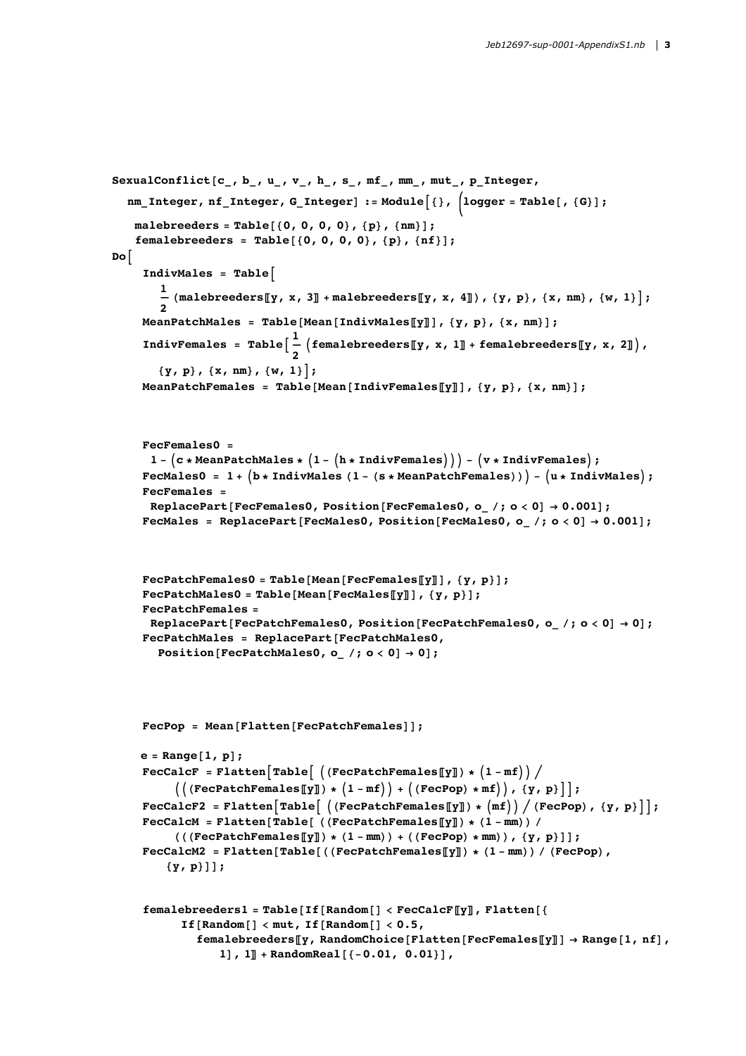```
SexualConflict [c_, b<sub>1</sub>, u<sub>1</sub>, v<sub>1</sub>, h<sub>1</sub>, s<sub>1</sub>, mf<sub>1</sub>, mm<sub>1</sub>, mut<sub>1</sub>, p<sub>1</sub>Integer,
   nm\_Integer, nf\_Integer, G\_Integer]: = Module[{ }, [logger = Table[, {G}];malebreeders = Table[{0, 0, 0, 0}, {p}, {nm}];
    femalebreeders = Table[{0, 0, 0, 0}, {p}, {nf}];
Do
      IndivMales = Table
          1 (malebreeders[[y, x, 3]] + malebreeders[[y, x, 4]]), {y, p}, {x, nm}, {w, 1}];
         2
      MeanPatchMales = Table[Mean[IndivMales〚y〛], {y, p}, {x, nm}];
      <code>IndivFemales = Table\begin{bmatrix} \frac{1}{2} \end{bmatrix} (femalebreeders\llbracket \texttt{y}, \texttt{x}, \texttt{1} \rrbracket + femalebreeders\llbracket \texttt{y}, \texttt{x}, \texttt{2} \rrbracket),</code>
         {y, p}, {x, nm}, {w, 1};
      MeanPatchFemales = Table[Mean[IndivFemales〚y〛], {y, p}, {x, nm}];
      FecFemales0 =
        1 - c * MeanPatchMales * 1 - h * IndivFemales - v * IndivFemales;
      FecMales0 = 1 + (b * IndivMales(1 - (s * MeanPatchFemales))) - (u * IndivMales);FecFemales =
       ReplacePart[FecFemales0, Position[FecFemales0, o_ /; o < 0] → 0.001];
      FecMales = \text{ReplacePart}[\text{FeCMales0}, \text{Position}[\text{FeCMales0}, o /; o < 0] \rightarrow 0.001];{\bf FecPatchFemales0 = Table} [Mean [{\bf FecFemales}]], {\bf y, p}];
      \textbf{F}ecPatchMales0 = \textbf{T}able[\textbf{Mean}[\textbf{F}ecMales[\![\mathbf{y}]\!], \{\mathbf{y},\mathbf{p}\}\];
      FecPatchFemales =
       ReplacePart[FecPatchFemales0, Position[FecPatchFemales0, o_ /; o < 0] → 0];
      FecPatchMales = ReplacePart[FecPatchMales0,
         Position[\text{FecPatchMales0, o} /; o < 0] \rightarrow 0];
      FecPop = Mean[Flatten[FecPatchFemales]];
      e = Range[1, p];
      {\bf FccCalcF} = {\bf Flatten}{\bf Table} \left( ({\bf FecPatchFemales}{\bf [Y]}) \neq {\bf (1-mf)}) \neq\left(\left(\text{(FecPatchFemales}[\![\mathbf{y}]\!]) * (\mathbf{1}-\mathbf{m}\mathbf{f})\right) + \left(\text{(FecPop)} * \mathbf{m}\mathbf{f}\right)\right), \{\mathbf{y}, \mathbf{p}\}\right];FecCalcF2 = Flatten\lceil \text{Table} \rceil (FecPatchFemales \lceil \text{y} \rceil) * \lfloor \text{mf} \rceil) / (FecPop), {\text{y}, \text{p}} \rceil ;
      FecCalcM = Flatten[Table[ ((FecPatchFemales〚y〛) * (1 - mm)) /
             (( ((FecPatchFemales [[y]]) \star (1 - mm)) + ((FecPop) \star mm)), {y, p}]];
      {\bf F}ecCalcM2 = {\bf F}latten[Table[(({\bf F}ecPatch{\bf F}emales{\bf F}y]) * (1 - mm)) / ({\bf F}ecPop),
           {y, p}]];
      femalebreeders1 = Table[If[Random[] < FecCalcF〚y〛, Flatten[{
              If[Random[] < mut, If[Random[] < 0.5,
                 femalebreeders〚y, RandomChoice[Flatten[FecFemales〚y〛] → Range[1, nf],
                      1], 1〛 + RandomReal[{-0.01, 0.01}],
```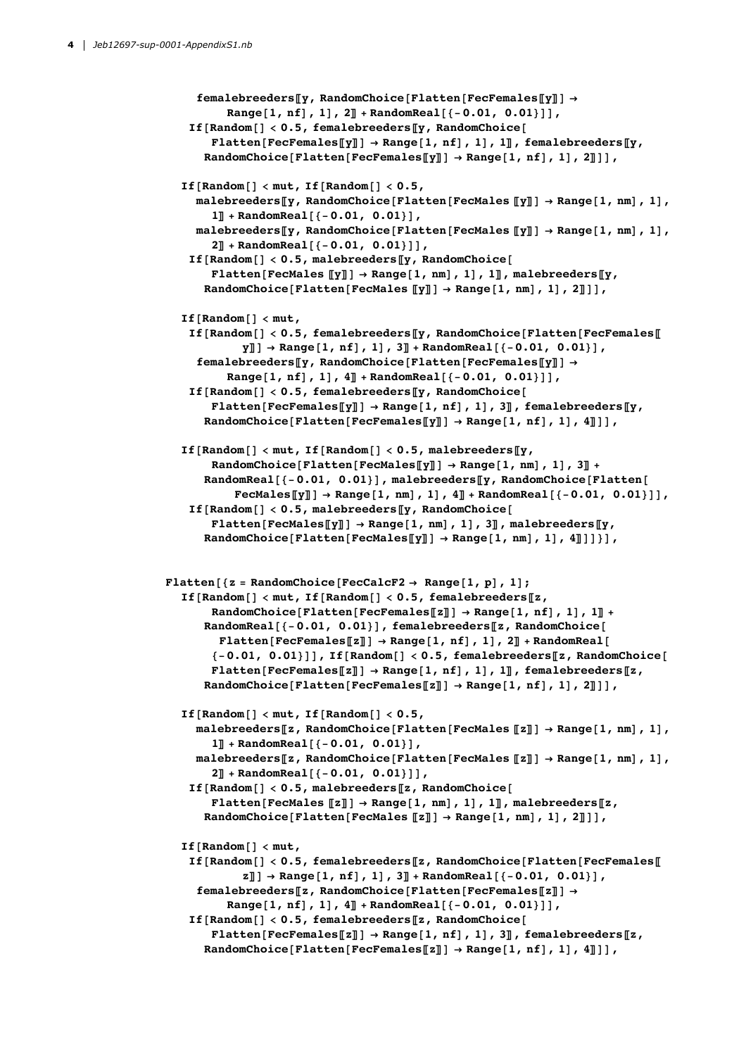```
femalebreeders〚y, RandomChoice[Flatten[FecFemales〚y〛] →
          Range[1, nf], 1], 2〛 + RandomReal[{-0.01, 0.01}]],
    If[Random[] < 0.5, femalebreeders〚y, RandomChoice[
        Flatten[FecFemales〚y〛] → Range[1, nf], 1], 1〛, femalebreeders〚y,
      RandomChoice[Flatten[FecFemales〚y〛] → Range[1, nf], 1], 2〛]],
  If[Random[] < mut, If[Random[] < 0.5,
     malebreeders〚y, RandomChoice[Flatten[FecMales 〚y〛] → Range[1, nm], 1],
        1〛 + RandomReal[{-0.01, 0.01}],
     malebreeders〚y, RandomChoice[Flatten[FecMales 〚y〛] → Range[1, nm], 1],
        2〛 + RandomReal[{-0.01, 0.01}]],
    If[Random[] < 0.5, malebreeders〚y, RandomChoice[
        Flatten[FecMales 〚y〛] → Range[1, nm], 1], 1〛, malebreeders〚y,
      RandomChoice[Flatten[FecMales 〚y〛] → Range[1, nm], 1], 2〛]],
  If[Random[] < mut,
    If[Random[] < 0.5, femalebreeders〚y, RandomChoice[Flatten[FecFemales〚
             y〛] → Range[1, nf], 1], 3〛 + RandomReal[{-0.01, 0.01}],
     femalebreeders〚y, RandomChoice[Flatten[FecFemales〚y〛] →
          Range[1, nf], 1], 4〛 + RandomReal[{-0.01, 0.01}]],
    If[Random[] < 0.5, femalebreeders〚y, RandomChoice[
        Flatten[FecFemales〚y〛] → Range[1, nf], 1], 3〛, femalebreeders〚y,
      RandomChoice[Flatten[FecFemales〚y〛] → Range[1, nf], 1], 4〛]],
  If[Random[] < mut, If[Random[] < 0.5, malebreeders〚y,
        \text{RandomChoice}[\text{Flatten}[\text{Fechales}[[y]]] \rightarrow \text{Range}[1, nm], 1], 3 +
      RandomReal[{-0.01, 0.01}], malebreeders〚y, RandomChoice[Flatten[
            FecMales [[y]] \rightarrow Range [1, nm], 1], 4] + RandomReal [{-0.01, 0.01}]],
    If[Random[] < 0.5, malebreeders〚y, RandomChoice[
        \textbf{F}latten\textbf{[FecMales}\textbf{[}y\textbf{]}\textbf{]} \rightarrow \textbf{Range}[1, \textbf{nm}], \textbf{1}, \textbf{1}, \textbf{3}\textbf{]}, malebreeders\textbf{[}y\textbf{,}\texttt{RandomChoice}[\texttt{Flatten}[\texttt{FecMales}[\![\mathbf{y}]\!]] \rightarrow \texttt{Range}[1, \texttt{nm}], 1], 4[]]]Flatten[{z = RandomChoice[FecCalcF2 → Range[1, p], 1];
  If[Random[] < mut, If[Random[] < 0.5, femalebreeders〚z,
        \text{RandomChoice}[\text{Flatten}[\text{FecFemales}[\textbf{z}]]] \rightarrow \text{Range}[1, nf], 1], 1RandomReal[{-0.01, 0.01}], femalebreeders〚z, RandomChoice[
         Flatten[FecFemales〚z〛] → Range[1, nf], 1], 2〛 + RandomReal[
        {-0.01, 0.01}]], If[Random[] < 0.5, femalebreeders〚z, RandomChoice[
        Flatten[FecFemales〚z〛] → Range[1, nf], 1], 1〛, femalebreeders〚z,
      \textbf{RandomChoice}[\textbf{Pattern}[\textbf{Fectemales}[[z]]] \rightarrow \textbf{Range}[1, nf], 1], 2]]]If[Random[] < mut, If[Random[] < 0.5,
     malebreeders〚z, RandomChoice[Flatten[FecMales 〚z〛] → Range[1, nm], 1],
        1〛 + RandomReal[{-0.01, 0.01}],
     malebreeders〚z, RandomChoice[Flatten[FecMales 〚z〛] → Range[1, nm], 1],
        2〛 + RandomReal[{-0.01, 0.01}]],
    If[Random[] < 0.5, malebreeders〚z, RandomChoice[
        Flatten[FecMales 〚z〛] → Range[1, nm], 1], 1〛, malebreeders〚z,
      RandomChoice[Flatten[FecMales 〚z〛] → Range[1, nm], 1], 2〛]],
  If[Random[] < mut,
    If[Random[] < 0.5, femalebreeders〚z, RandomChoice[Flatten[FecFemales〚
             z〛] → Range[1, nf], 1], 3〛 + RandomReal[{-0.01, 0.01}],
     femalebreeders〚z, RandomChoice[Flatten[FecFemales〚z〛] →
          Range[1, nf], 1], 4〛 + RandomReal[{-0.01, 0.01}]],
    If[Random[] < 0.5, femalebreeders〚z, RandomChoice[
        Flatten[FecFemales〚z〛] → Range[1, nf], 1], 3〛, femalebreeders〚z,
      RandomChoice<sup>[</sup>Flatten<sup>[</sup></sup>FecFemales<sup>[\mathbb{Z}]) \rightarrow Range<sup>[</sup>\mathbb{1}, \text{nf}], \mathbb{1}\uparrow, \mathbb{4}\mathbb{I}]\uparrow,</sup>
```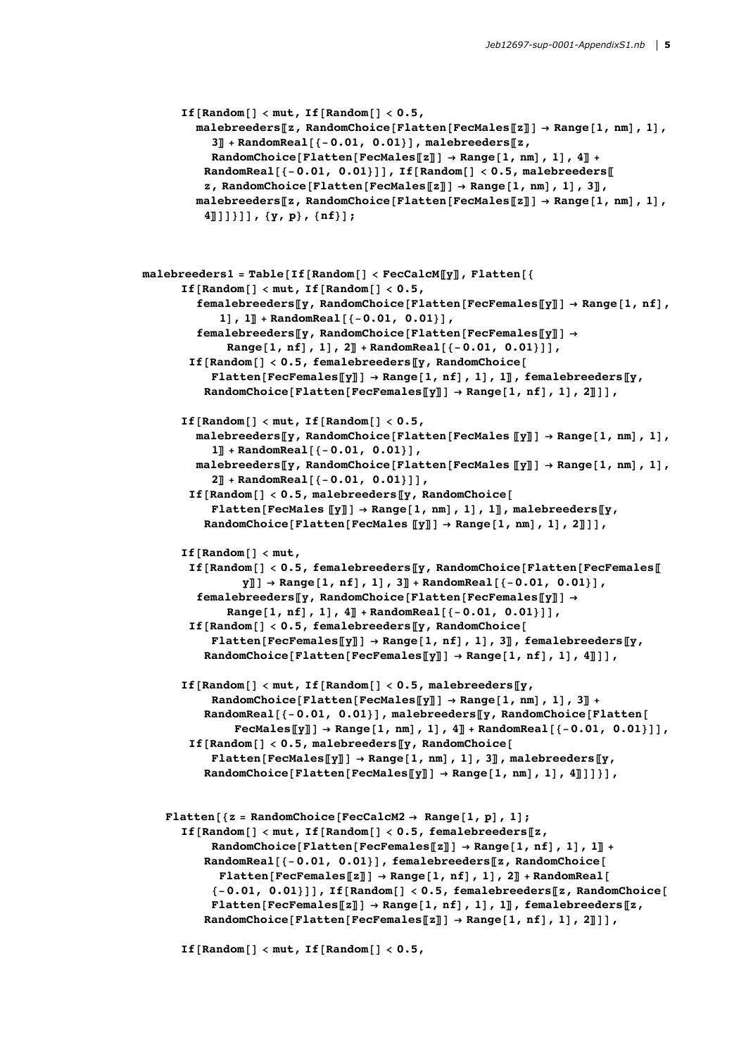```
If[Random[] < mut, If[Random[] < 0.5,
         malebreeders〚z, RandomChoice[Flatten[FecMales〚z〛] → Range[1, nm], 1],
            3〛 + RandomReal[{-0.01, 0.01}], malebreeders〚z,
            RandomChoice[Flatten[FecMales〚z〛] → Range[1, nm], 1], 4〛 +
          RandomReal[{-0.01, 0.01}]], If[Random[] < 0.5, malebreeders〚
          z, RandomChoice<sup>[Flatten<sup>[</sup>FecMales<sup>[[z]] \rightarrow Range<sup>[1, nm], 1], 3],</sup></sup></sup>
         malebreeders〚z, RandomChoice[Flatten[FecMales〚z〛] → Range[1, nm], 1],
          4〛]]}]], {y, p}, {nf}];
malebreeders1 = Table[If[Random[] < FecCalcM〚y〛, Flatten[{
      If[Random[] < mut, If[Random[] < 0.5,
         femalebreeders〚y, RandomChoice[Flatten[FecFemales〚y〛] → Range[1, nf],
             1], 1〛 + RandomReal[{-0.01, 0.01}],
         femalebreeders〚y, RandomChoice[Flatten[FecFemales〚y〛] →
              Range[1, nf], 1], 2〛 + RandomReal[{-0.01, 0.01}]],
        If[Random[] < 0.5, femalebreeders〚y, RandomChoice[
            Flatten[FecFemales〚y〛] → Range[1, nf], 1], 1〛, femalebreeders〚y,
          RandomChoice[Flatten[FecFemales〚y〛] → Range[1, nf], 1], 2〛]],
      If[Random[] < mut, If[Random[] < 0.5,
         malebreeders〚y, RandomChoice[Flatten[FecMales 〚y〛] → Range[1, nm], 1],
            1〛 + RandomReal[{-0.01, 0.01}],
         malebreeders〚y, RandomChoice[Flatten[FecMales 〚y〛] → Range[1, nm], 1],
            2〛 + RandomReal[{-0.01, 0.01}]],
        If[Random[] < 0.5, malebreeders〚y, RandomChoice[
            Flatten[FecMales \llbracket \mathbf{y} \rrbracket] \rightarrow Range[1, nm], 1], 1], malebreeders\llbracket \mathbf{y} \rrbracketRandomChoice[Flatten[FecMales 〚y〛] → Range[1, nm], 1], 2〛]],
      If[Random[] < mut,
        If[Random[] < 0.5, femalebreeders〚y, RandomChoice[Flatten[FecFemales〚
                 y〛] → Range[1, nf], 1], 3〛 + RandomReal[{-0.01, 0.01}],
         femalebreeders〚y, RandomChoice[Flatten[FecFemales〚y〛] →
              Range[1, nf], 1], 4〛 + RandomReal[{-0.01, 0.01}]],
        If[Random[] < 0.5, femalebreeders〚y, RandomChoice[
            Flatten[FecFemales〚y〛] → Range[1, nf], 1], 3〛, femalebreeders〚y,
          RandomChoice[Flatten[FecFemales〚y〛] → Range[1, nf], 1], 4〛]],
      If [Random[] <math>\times</math> mut, If [Random[] <math>\times</math> 0.5, malebreeders[]y,RandomChoice[Flatten[FecMales[y]] \rightarrow Range[1, nm], 1], 3] +RandomReal[{-0.01, 0.01}], malebreeders〚y, RandomChoice[Flatten[
                \texttt{FecMales}[\![\mathtt{y}]\!] \rightarrow \texttt{Range}\left[\texttt{1, nm}\right],\ \mathtt{1}\right],\ \mathtt{4}]\!] + \texttt{RandomReal}\left[\left\{-0.01,\ 0.01\right\}\right]\right],If[Random[] < 0.5, malebreeders〚y, RandomChoice[
            Flatten[FecMales〚y〛] → Range[1, nm], 1], 3〛, malebreeders〚y,
          \texttt{RandomChoice}[\texttt{Flatten}[\texttt{FecMales}[\![\mathbf{y}]\!]) \rightarrow \texttt{Range}[1, \texttt{nm}], 1], 4[]]]\text{Flatten}[\{z = \text{RandomChoice}[\text{FeccCalcM2} \rightarrow \text{Range}[1, p], 1]\}If[Random[] < mut, If[Random[] < 0.5, femalebreeders〚z,
            RandomChoice[Flatten[FecFemales〚z〛] → Range[1, nf], 1], 1〛 +
          RandomReal[{-0.01, 0.01}], femalebreeders〚z, RandomChoice[
             \text{Flatten}[\text{FecFemales}[[z]]) \rightarrow \text{Range}[1, nf], 1], 2]] + \text{RandomReal}[\text{Rem}{-0.01, 0.01}]], If[Random[] < 0.5, femalebreeders〚z, RandomChoice[
            Flatten[FecFemales〚z〛] → Range[1, nf], 1], 1〛, femalebreeders〚z,
          RandomChoice[Flatten[FecFemales〚z〛] → Range[1, nf], 1], 2〛]],
```
**If[Random[] < mut, If[Random[] < 0.5,**